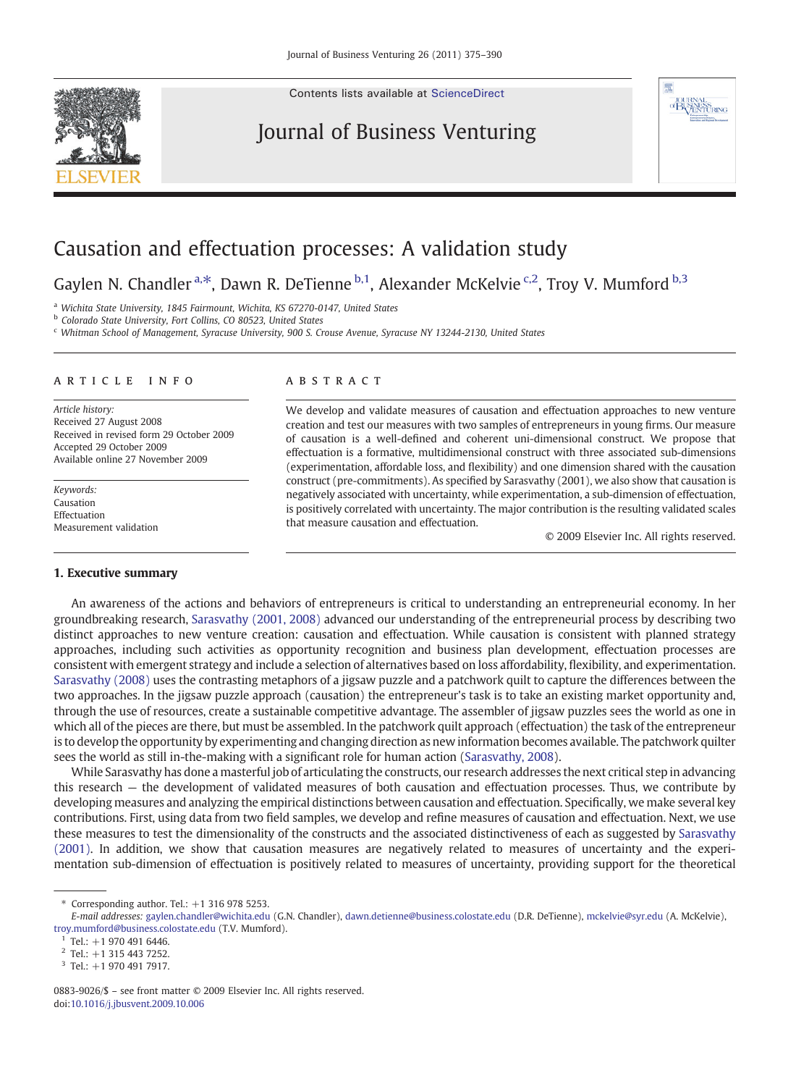Contents lists available at [ScienceDirect](http://www.sciencedirect.com/science/journal/08839026)

# Journal of Business Venturing



# Causation and effectuation processes: A validation study

Gaylen N. Chandler<sup>a,\*</sup>, Dawn R. DeTienne  $b,1$ , Alexander McKelvie  $c,2$ , Troy V. Mumford  $b,3$ 

<sup>a</sup> Wichita State University, 1845 Fairmount, Wichita, KS 67270-0147, United States

**b** Colorado State University, Fort Collins, CO 80523, United States

<sup>c</sup> Whitman School of Management, Syracuse University, 900 S. Crouse Avenue, Syracuse NY 13244-2130, United States

#### article info abstract

Article history: Received 27 August 2008 Received in revised form 29 October 2009 Accepted 29 October 2009 Available online 27 November 2009

Keywords: Causation Effectuation Measurement validation

# 1. Executive summary

We develop and validate measures of causation and effectuation approaches to new venture creation and test our measures with two samples of entrepreneurs in young firms. Our measure of causation is a well-defined and coherent uni-dimensional construct. We propose that effectuation is a formative, multidimensional construct with three associated sub-dimensions (experimentation, affordable loss, and flexibility) and one dimension shared with the causation construct (pre-commitments). As specified by Sarasvathy (2001), we also show that causation is negatively associated with uncertainty, while experimentation, a sub-dimension of effectuation, is positively correlated with uncertainty. The major contribution is the resulting validated scales that measure causation and effectuation.

© 2009 Elsevier Inc. All rights reserved.

An awareness of the actions and behaviors of entrepreneurs is critical to understanding an entrepreneurial economy. In her groundbreaking research, [Sarasvathy \(2001, 2008\)](#page-15-0) advanced our understanding of the entrepreneurial process by describing two distinct approaches to new venture creation: causation and effectuation. While causation is consistent with planned strategy approaches, including such activities as opportunity recognition and business plan development, effectuation processes are consistent with emergent strategy and include a selection of alternatives based on loss affordability, flexibility, and experimentation. [Sarasvathy \(2008\)](#page-15-0) uses the contrasting metaphors of a jigsaw puzzle and a patchwork quilt to capture the differences between the two approaches. In the jigsaw puzzle approach (causation) the entrepreneur's task is to take an existing market opportunity and, through the use of resources, create a sustainable competitive advantage. The assembler of jigsaw puzzles sees the world as one in which all of the pieces are there, but must be assembled. In the patchwork quilt approach (effectuation) the task of the entrepreneur is to develop the opportunity by experimenting and changing direction as new information becomes available. The patchwork quilter sees the world as still in-the-making with a significant role for human action ([Sarasvathy, 2008\)](#page-15-0).

While Sarasvathy has done a masterful job of articulating the constructs, our research addresses the next critical step in advancing this research — the development of validated measures of both causation and effectuation processes. Thus, we contribute by developing measures and analyzing the empirical distinctions between causation and effectuation. Specifically, we make several key contributions. First, using data from two field samples, we develop and refine measures of causation and effectuation. Next, we use these measures to test the dimensionality of the constructs and the associated distinctiveness of each as suggested by [Sarasvathy](#page-15-0) [\(2001\).](#page-15-0) In addition, we show that causation measures are negatively related to measures of uncertainty and the experimentation sub-dimension of effectuation is positively related to measures of uncertainty, providing support for the theoretical

 $*$  Corresponding author. Tel.:  $+1$  316 978 5253.

E-mail addresses: [gaylen.chandler@wichita.edu](mailto:gaylen.chandler@wichita.edu) (G.N. Chandler), [dawn.detienne@business.colostate.edu](mailto:dawn.detienne@business.colostate.edu) (D.R. DeTienne), [mckelvie@syr.edu](mailto:mckelvie@syr.edu) (A. McKelvie), [troy.mumford@business.colostate.edu](mailto:troy.mumford@business.colostate.edu) (T.V. Mumford).

 $1$  Tel.: +1 970 491 6446.

 $2$  Tel.: +1 315 443 7252.

 $3$  Tel.: +1 970 491 7917.

<sup>0883-9026/\$</sup> – see front matter © 2009 Elsevier Inc. All rights reserved. doi[:10.1016/j.jbusvent.2009.10.006](http://dx.doi.org/10.1016/j.jbusvent.2009.10.006)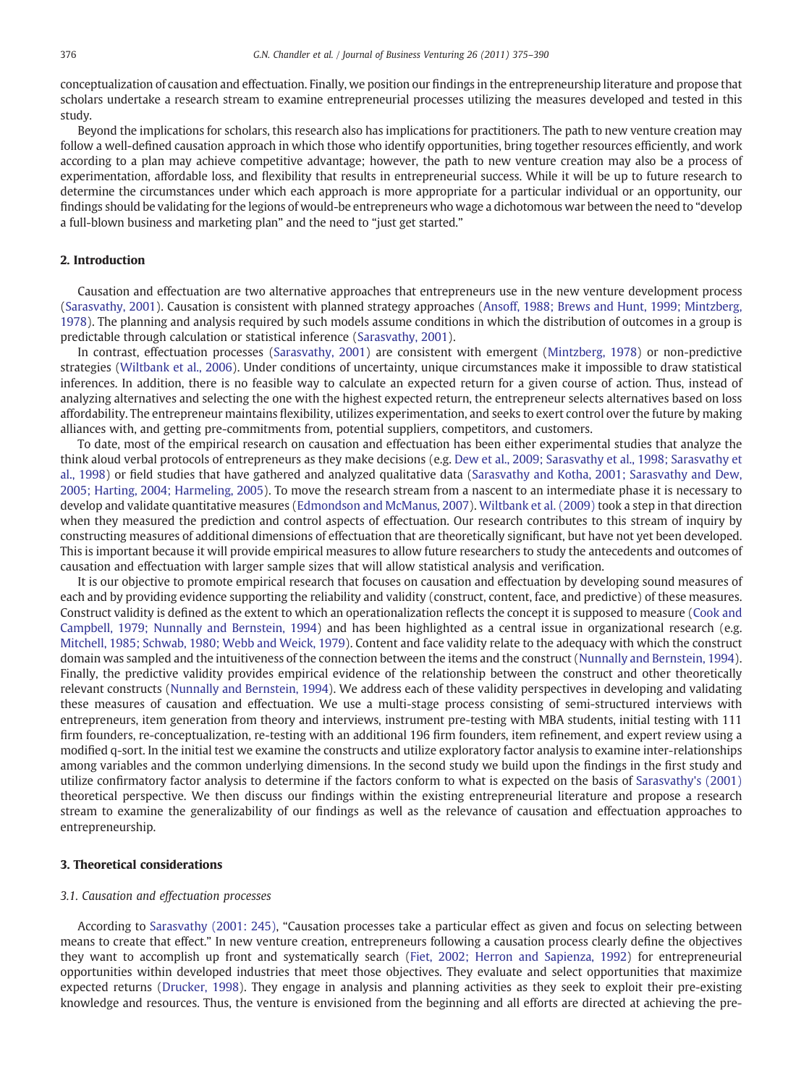conceptualization of causation and effectuation. Finally, we position our findings in the entrepreneurship literature and propose that scholars undertake a research stream to examine entrepreneurial processes utilizing the measures developed and tested in this study.

Beyond the implications for scholars, this research also has implications for practitioners. The path to new venture creation may follow a well-defined causation approach in which those who identify opportunities, bring together resources efficiently, and work according to a plan may achieve competitive advantage; however, the path to new venture creation may also be a process of experimentation, affordable loss, and flexibility that results in entrepreneurial success. While it will be up to future research to determine the circumstances under which each approach is more appropriate for a particular individual or an opportunity, our findings should be validating for the legions of would-be entrepreneurs who wage a dichotomous war between the need to "develop a full-blown business and marketing plan" and the need to "just get started."

### 2. Introduction

Causation and effectuation are two alternative approaches that entrepreneurs use in the new venture development process ([Sarasvathy, 2001\)](#page-15-0). Causation is consistent with planned strategy approaches ([Ansoff, 1988; Brews and Hunt, 1999; Mintzberg,](#page-13-0) [1978](#page-13-0)). The planning and analysis required by such models assume conditions in which the distribution of outcomes in a group is predictable through calculation or statistical inference ([Sarasvathy, 2001](#page-15-0)).

In contrast, effectuation processes [\(Sarasvathy, 2001](#page-15-0)) are consistent with emergent ([Mintzberg, 1978\)](#page-14-0) or non-predictive strategies [\(Wiltbank et al., 2006\)](#page-15-0). Under conditions of uncertainty, unique circumstances make it impossible to draw statistical inferences. In addition, there is no feasible way to calculate an expected return for a given course of action. Thus, instead of analyzing alternatives and selecting the one with the highest expected return, the entrepreneur selects alternatives based on loss affordability. The entrepreneur maintains flexibility, utilizes experimentation, and seeks to exert control over the future by making alliances with, and getting pre-commitments from, potential suppliers, competitors, and customers.

To date, most of the empirical research on causation and effectuation has been either experimental studies that analyze the think aloud verbal protocols of entrepreneurs as they make decisions (e.g. [Dew et al., 2009; Sarasvathy et al., 1998;](#page-14-0) [Sarasvathy et](#page-15-0) [al., 1998](#page-15-0)) or field studies that have gathered and analyzed qualitative data ([Sarasvathy and Kotha, 2001; Sarasvathy and Dew,](#page-15-0) [2005;](#page-15-0) [Harting, 2004; Harmeling, 2005](#page-14-0)). To move the research stream from a nascent to an intermediate phase it is necessary to develop and validate quantitative measures [\(Edmondson and McManus, 2007\)](#page-14-0). [Wiltbank et al. \(2009\)](#page-15-0) took a step in that direction when they measured the prediction and control aspects of effectuation. Our research contributes to this stream of inquiry by constructing measures of additional dimensions of effectuation that are theoretically significant, but have not yet been developed. This is important because it will provide empirical measures to allow future researchers to study the antecedents and outcomes of causation and effectuation with larger sample sizes that will allow statistical analysis and verification.

It is our objective to promote empirical research that focuses on causation and effectuation by developing sound measures of each and by providing evidence supporting the reliability and validity (construct, content, face, and predictive) of these measures. Construct validity is defined as the extent to which an operationalization reflects the concept it is supposed to measure ([Cook and](#page-14-0) [Campbell, 1979; Nunnally and Bernstein, 1994\)](#page-14-0) and has been highlighted as a central issue in organizational research (e.g. [Mitchell, 1985; Schwab, 1980; Webb and Weick, 1979\)](#page-14-0). Content and face validity relate to the adequacy with which the construct domain was sampled and the intuitiveness of the connection between the items and the construct ([Nunnally and Bernstein, 1994](#page-14-0)). Finally, the predictive validity provides empirical evidence of the relationship between the construct and other theoretically relevant constructs ([Nunnally and Bernstein, 1994\)](#page-14-0). We address each of these validity perspectives in developing and validating these measures of causation and effectuation. We use a multi-stage process consisting of semi-structured interviews with entrepreneurs, item generation from theory and interviews, instrument pre-testing with MBA students, initial testing with 111 firm founders, re-conceptualization, re-testing with an additional 196 firm founders, item refinement, and expert review using a modified q-sort. In the initial test we examine the constructs and utilize exploratory factor analysis to examine inter-relationships among variables and the common underlying dimensions. In the second study we build upon the findings in the first study and utilize confirmatory factor analysis to determine if the factors conform to what is expected on the basis of [Sarasvathy's \(2001\)](#page-15-0) theoretical perspective. We then discuss our findings within the existing entrepreneurial literature and propose a research stream to examine the generalizability of our findings as well as the relevance of causation and effectuation approaches to entrepreneurship.

#### 3. Theoretical considerations

#### 3.1. Causation and effectuation processes

According to [Sarasvathy \(2001: 245\),](#page-15-0) "Causation processes take a particular effect as given and focus on selecting between means to create that effect." In new venture creation, entrepreneurs following a causation process clearly define the objectives they want to accomplish up front and systematically search ([Fiet, 2002; Herron and Sapienza, 1992\)](#page-14-0) for entrepreneurial opportunities within developed industries that meet those objectives. They evaluate and select opportunities that maximize expected returns ([Drucker, 1998](#page-14-0)). They engage in analysis and planning activities as they seek to exploit their pre-existing knowledge and resources. Thus, the venture is envisioned from the beginning and all efforts are directed at achieving the pre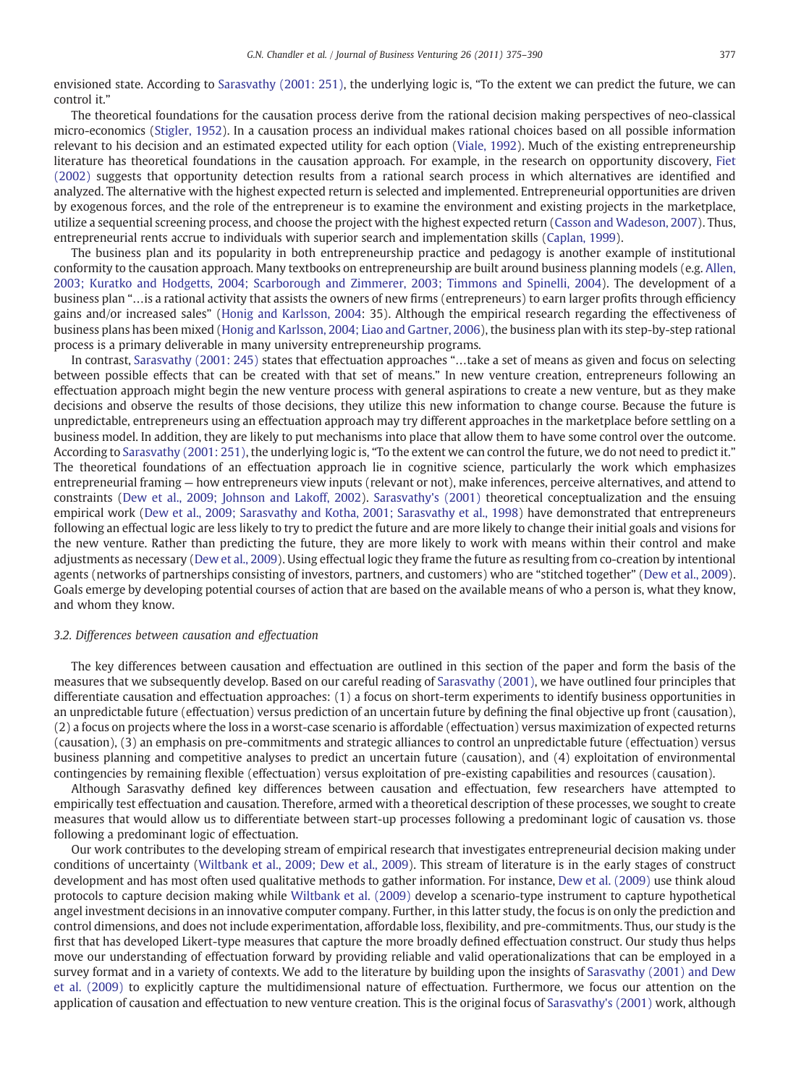envisioned state. According to [Sarasvathy \(2001: 251\)](#page-15-0), the underlying logic is, "To the extent we can predict the future, we can control it."

The theoretical foundations for the causation process derive from the rational decision making perspectives of neo-classical micro-economics ([Stigler, 1952\)](#page-15-0). In a causation process an individual makes rational choices based on all possible information relevant to his decision and an estimated expected utility for each option ([Viale, 1992](#page-15-0)). Much of the existing entrepreneurship literature has theoretical foundations in the causation approach. For example, in the research on opportunity discovery, [Fiet](#page-14-0) [\(2002\)](#page-14-0) suggests that opportunity detection results from a rational search process in which alternatives are identified and analyzed. The alternative with the highest expected return is selected and implemented. Entrepreneurial opportunities are driven by exogenous forces, and the role of the entrepreneur is to examine the environment and existing projects in the marketplace, utilize a sequential screening process, and choose the project with the highest expected return [\(Casson and Wadeson, 2007\)](#page-14-0). Thus, entrepreneurial rents accrue to individuals with superior search and implementation skills ([Caplan, 1999](#page-14-0)).

The business plan and its popularity in both entrepreneurship practice and pedagogy is another example of institutional conformity to the causation approach. Many textbooks on entrepreneurship are built around business planning models (e.g. [Allen,](#page-13-0) [2003; Kuratko and Hodgetts, 2004; Scarborough and Zimmerer, 2003; Timmons and Spinelli, 2004](#page-13-0)). The development of a business plan "…is a rational activity that assists the owners of new firms (entrepreneurs) to earn larger profits through efficiency gains and/or increased sales" [\(Honig and Karlsson, 2004](#page-14-0): 35). Although the empirical research regarding the effectiveness of business plans has been mixed ([Honig and Karlsson, 2004; Liao and Gartner, 2006](#page-14-0)), the business plan with its step-by-step rational process is a primary deliverable in many university entrepreneurship programs.

In contrast, [Sarasvathy \(2001: 245\)](#page-15-0) states that effectuation approaches "…take a set of means as given and focus on selecting between possible effects that can be created with that set of means." In new venture creation, entrepreneurs following an effectuation approach might begin the new venture process with general aspirations to create a new venture, but as they make decisions and observe the results of those decisions, they utilize this new information to change course. Because the future is unpredictable, entrepreneurs using an effectuation approach may try different approaches in the marketplace before settling on a business model. In addition, they are likely to put mechanisms into place that allow them to have some control over the outcome. According to [Sarasvathy \(2001: 251\)](#page-15-0), the underlying logic is, "To the extent we can control the future, we do not need to predict it." The theoretical foundations of an effectuation approach lie in cognitive science, particularly the work which emphasizes entrepreneurial framing — how entrepreneurs view inputs (relevant or not), make inferences, perceive alternatives, and attend to constraints ([Dew et al., 2009; Johnson and Lakoff, 2002\)](#page-14-0). [Sarasvathy's \(2001\)](#page-15-0) theoretical conceptualization and the ensuing empirical work ([Dew et al., 2009; Sarasvathy and Kotha, 2001; Sarasvathy et al., 1998](#page-14-0)) have demonstrated that entrepreneurs following an effectual logic are less likely to try to predict the future and are more likely to change their initial goals and visions for the new venture. Rather than predicting the future, they are more likely to work with means within their control and make adjustments as necessary ([Dew et al., 2009\)](#page-14-0). Using effectual logic they frame the future as resulting from co-creation by intentional agents (networks of partnerships consisting of investors, partners, and customers) who are "stitched together" [\(Dew et al., 2009\)](#page-14-0). Goals emerge by developing potential courses of action that are based on the available means of who a person is, what they know, and whom they know.

#### 3.2. Differences between causation and effectuation

The key differences between causation and effectuation are outlined in this section of the paper and form the basis of the measures that we subsequently develop. Based on our careful reading of [Sarasvathy \(2001\),](#page-15-0) we have outlined four principles that differentiate causation and effectuation approaches: (1) a focus on short-term experiments to identify business opportunities in an unpredictable future (effectuation) versus prediction of an uncertain future by defining the final objective up front (causation), (2) a focus on projects where the loss in a worst-case scenario is affordable (effectuation) versus maximization of expected returns (causation), (3) an emphasis on pre-commitments and strategic alliances to control an unpredictable future (effectuation) versus business planning and competitive analyses to predict an uncertain future (causation), and (4) exploitation of environmental contingencies by remaining flexible (effectuation) versus exploitation of pre-existing capabilities and resources (causation).

Although Sarasvathy defined key differences between causation and effectuation, few researchers have attempted to empirically test effectuation and causation. Therefore, armed with a theoretical description of these processes, we sought to create measures that would allow us to differentiate between start-up processes following a predominant logic of causation vs. those following a predominant logic of effectuation.

Our work contributes to the developing stream of empirical research that investigates entrepreneurial decision making under conditions of uncertainty ([Wiltbank et al., 2009; Dew et al., 2009](#page-15-0)). This stream of literature is in the early stages of construct development and has most often used qualitative methods to gather information. For instance, [Dew et al. \(2009\)](#page-14-0) use think aloud protocols to capture decision making while [Wiltbank et al. \(2009\)](#page-15-0) develop a scenario-type instrument to capture hypothetical angel investment decisions in an innovative computer company. Further, in this latter study, the focus is on only the prediction and control dimensions, and does not include experimentation, affordable loss, flexibility, and pre-commitments. Thus, our study is the first that has developed Likert-type measures that capture the more broadly defined effectuation construct. Our study thus helps move our understanding of effectuation forward by providing reliable and valid operationalizations that can be employed in a survey format and in a variety of contexts. We add to the literature by building upon the insights of [Sarasvathy \(2001\) and Dew](#page-15-0) [et al. \(2009\)](#page-15-0) to explicitly capture the multidimensional nature of effectuation. Furthermore, we focus our attention on the application of causation and effectuation to new venture creation. This is the original focus of [Sarasvathy's \(2001\)](#page-15-0) work, although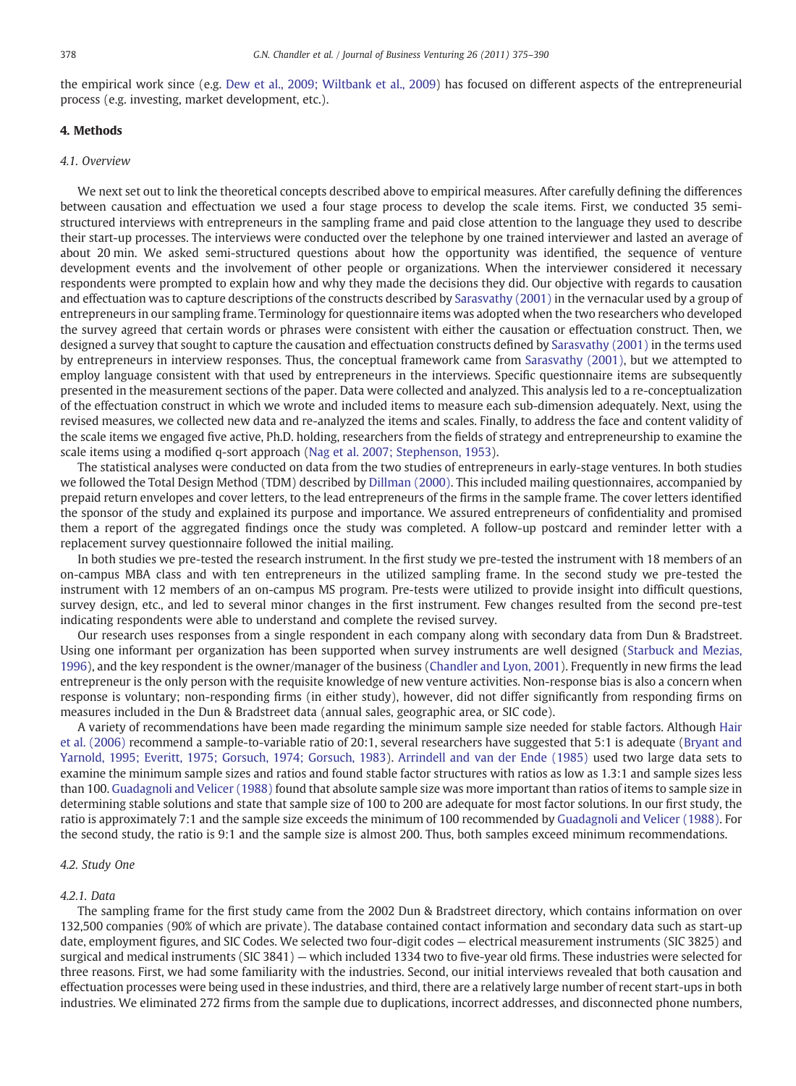the empirical work since (e.g. [Dew et al., 2009; Wiltbank et al., 2009\)](#page-14-0) has focused on different aspects of the entrepreneurial process (e.g. investing, market development, etc.).

# 4. Methods

### 4.1. Overview

We next set out to link the theoretical concepts described above to empirical measures. After carefully defining the differences between causation and effectuation we used a four stage process to develop the scale items. First, we conducted 35 semistructured interviews with entrepreneurs in the sampling frame and paid close attention to the language they used to describe their start-up processes. The interviews were conducted over the telephone by one trained interviewer and lasted an average of about 20 min. We asked semi-structured questions about how the opportunity was identified, the sequence of venture development events and the involvement of other people or organizations. When the interviewer considered it necessary respondents were prompted to explain how and why they made the decisions they did. Our objective with regards to causation and effectuation was to capture descriptions of the constructs described by [Sarasvathy \(2001\)](#page-15-0) in the vernacular used by a group of entrepreneurs in our sampling frame. Terminology for questionnaire items was adopted when the two researchers who developed the survey agreed that certain words or phrases were consistent with either the causation or effectuation construct. Then, we designed a survey that sought to capture the causation and effectuation constructs defined by [Sarasvathy \(2001\)](#page-15-0) in the terms used by entrepreneurs in interview responses. Thus, the conceptual framework came from [Sarasvathy \(2001\),](#page-15-0) but we attempted to employ language consistent with that used by entrepreneurs in the interviews. Specific questionnaire items are subsequently presented in the measurement sections of the paper. Data were collected and analyzed. This analysis led to a re-conceptualization of the effectuation construct in which we wrote and included items to measure each sub-dimension adequately. Next, using the revised measures, we collected new data and re-analyzed the items and scales. Finally, to address the face and content validity of the scale items we engaged five active, Ph.D. holding, researchers from the fields of strategy and entrepreneurship to examine the scale items using a modified q-sort approach [\(Nag et al. 2007; Stephenson, 1953\)](#page-14-0).

The statistical analyses were conducted on data from the two studies of entrepreneurs in early-stage ventures. In both studies we followed the Total Design Method (TDM) described by [Dillman \(2000\)](#page-14-0). This included mailing questionnaires, accompanied by prepaid return envelopes and cover letters, to the lead entrepreneurs of the firms in the sample frame. The cover letters identified the sponsor of the study and explained its purpose and importance. We assured entrepreneurs of confidentiality and promised them a report of the aggregated findings once the study was completed. A follow-up postcard and reminder letter with a replacement survey questionnaire followed the initial mailing.

In both studies we pre-tested the research instrument. In the first study we pre-tested the instrument with 18 members of an on-campus MBA class and with ten entrepreneurs in the utilized sampling frame. In the second study we pre-tested the instrument with 12 members of an on-campus MS program. Pre-tests were utilized to provide insight into difficult questions, survey design, etc., and led to several minor changes in the first instrument. Few changes resulted from the second pre-test indicating respondents were able to understand and complete the revised survey.

Our research uses responses from a single respondent in each company along with secondary data from Dun & Bradstreet. Using one informant per organization has been supported when survey instruments are well designed [\(Starbuck and Mezias,](#page-15-0) [1996](#page-15-0)), and the key respondent is the owner/manager of the business ([Chandler and Lyon, 2001](#page-14-0)). Frequently in new firms the lead entrepreneur is the only person with the requisite knowledge of new venture activities. Non-response bias is also a concern when response is voluntary; non-responding firms (in either study), however, did not differ significantly from responding firms on measures included in the Dun & Bradstreet data (annual sales, geographic area, or SIC code).

A variety of recommendations have been made regarding the minimum sample size needed for stable factors. Although [Hair](#page-14-0) [et al. \(2006\)](#page-14-0) recommend a sample-to-variable ratio of 20:1, several researchers have suggested that 5:1 is adequate ([Bryant and](#page-13-0) [Yarnold, 1995; Everitt, 1975; Gorsuch, 1974; Gorsuch, 1983](#page-13-0)). [Arrindell and van der Ende \(1985\)](#page-13-0) used two large data sets to examine the minimum sample sizes and ratios and found stable factor structures with ratios as low as 1.3:1 and sample sizes less than 100. [Guadagnoli and Velicer \(1988\)](#page-14-0) found that absolute sample size was more important than ratios of items to sample size in determining stable solutions and state that sample size of 100 to 200 are adequate for most factor solutions. In our first study, the ratio is approximately 7:1 and the sample size exceeds the minimum of 100 recommended by [Guadagnoli and Velicer \(1988\)](#page-14-0). For the second study, the ratio is 9:1 and the sample size is almost 200. Thus, both samples exceed minimum recommendations.

#### 4.2. Study One

# 4.2.1. Data

The sampling frame for the first study came from the 2002 Dun & Bradstreet directory, which contains information on over 132,500 companies (90% of which are private). The database contained contact information and secondary data such as start-up date, employment figures, and SIC Codes. We selected two four-digit codes — electrical measurement instruments (SIC 3825) and surgical and medical instruments (SIC 3841) — which included 1334 two to five-year old firms. These industries were selected for three reasons. First, we had some familiarity with the industries. Second, our initial interviews revealed that both causation and effectuation processes were being used in these industries, and third, there are a relatively large number of recent start-ups in both industries. We eliminated 272 firms from the sample due to duplications, incorrect addresses, and disconnected phone numbers,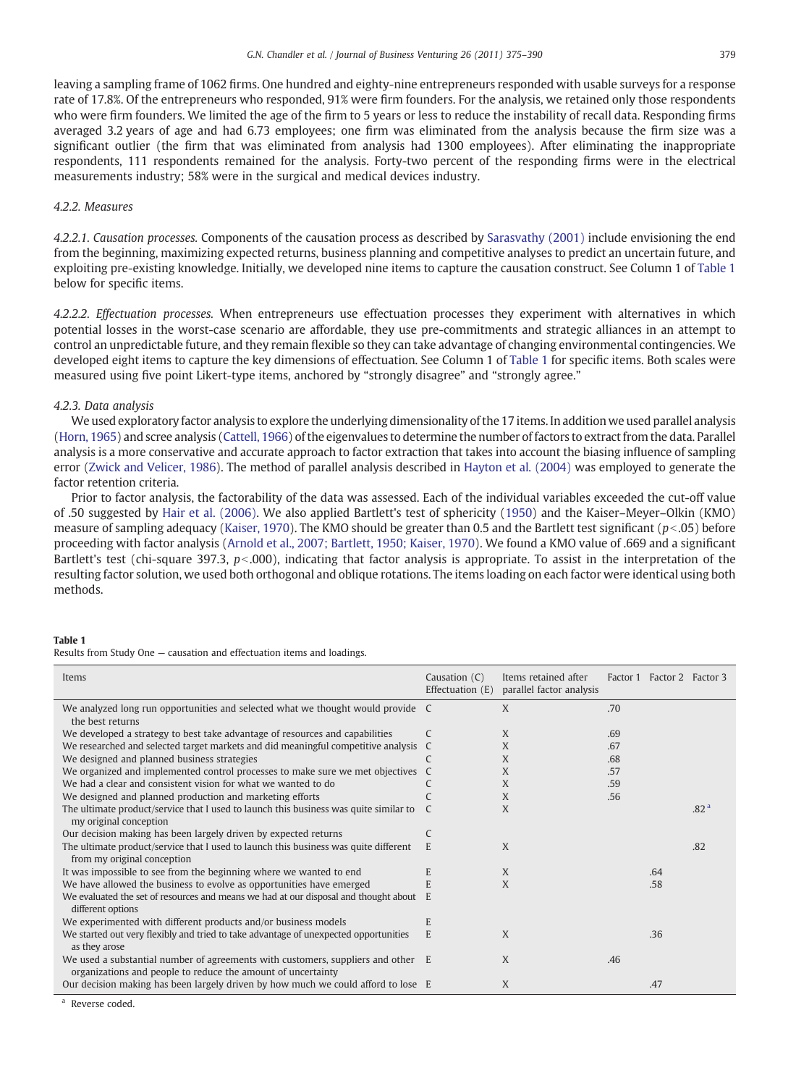<span id="page-4-0"></span>leaving a sampling frame of 1062 firms. One hundred and eighty-nine entrepreneurs responded with usable surveys for a response rate of 17.8%. Of the entrepreneurs who responded, 91% were firm founders. For the analysis, we retained only those respondents who were firm founders. We limited the age of the firm to 5 years or less to reduce the instability of recall data. Responding firms averaged 3.2 years of age and had 6.73 employees; one firm was eliminated from the analysis because the firm size was a significant outlier (the firm that was eliminated from analysis had 1300 employees). After eliminating the inappropriate respondents, 111 respondents remained for the analysis. Forty-two percent of the responding firms were in the electrical measurements industry; 58% were in the surgical and medical devices industry.

# 4.2.2. Measures

4.2.2.1. Causation processes. Components of the causation process as described by [Sarasvathy \(2001\)](#page-15-0) include envisioning the end from the beginning, maximizing expected returns, business planning and competitive analyses to predict an uncertain future, and exploiting pre-existing knowledge. Initially, we developed nine items to capture the causation construct. See Column 1 of Table 1 below for specific items.

4.2.2.2. Effectuation processes. When entrepreneurs use effectuation processes they experiment with alternatives in which potential losses in the worst-case scenario are affordable, they use pre-commitments and strategic alliances in an attempt to control an unpredictable future, and they remain flexible so they can take advantage of changing environmental contingencies. We developed eight items to capture the key dimensions of effectuation. See Column 1 of Table 1 for specific items. Both scales were measured using five point Likert-type items, anchored by "strongly disagree" and "strongly agree."

#### 4.2.3. Data analysis

We used exploratory factor analysis to explore the underlying dimensionality of the 17 items. In addition we used parallel analysis [\(Horn, 1965\)](#page-14-0) and scree analysis ([Cattell, 1966\)](#page-14-0) of the eigenvalues to determine the number of factors to extract from the data. Parallel analysis is a more conservative and accurate approach to factor extraction that takes into account the biasing influence of sampling error ([Zwick and Velicer, 1986\)](#page-15-0). The method of parallel analysis described in [Hayton et al. \(2004\)](#page-14-0) was employed to generate the factor retention criteria.

Prior to factor analysis, the factorability of the data was assessed. Each of the individual variables exceeded the cut-off value of .50 suggested by [Hair et al. \(2006\)](#page-14-0). We also applied Bartlett's test of sphericity ([1950\)](#page-13-0) and the Kaiser–Meyer–Olkin (KMO) measure of sampling adequacy ([Kaiser, 1970\)](#page-14-0). The KMO should be greater than 0.5 and the Bartlett test significant ( $p$ <.05) before proceeding with factor analysis ([Arnold et al., 2007; Bartlett, 1950; Kaiser, 1970\)](#page-13-0). We found a KMO value of .669 and a significant Bartlett's test (chi-square 397.3,  $p<0.000$ ), indicating that factor analysis is appropriate. To assist in the interpretation of the resulting factor solution, we used both orthogonal and oblique rotations. The items loading on each factor were identical using both methods.

#### Table 1

Results from Study One — causation and effectuation items and loadings.

| Items                                                                                                                                            | Causation $(C)$<br>Effectuation (E) | Items retained after<br>parallel factor analysis |     | Factor 1 Factor 2 Factor 3 |                  |
|--------------------------------------------------------------------------------------------------------------------------------------------------|-------------------------------------|--------------------------------------------------|-----|----------------------------|------------------|
| We analyzed long run opportunities and selected what we thought would provide C<br>the best returns                                              |                                     | X                                                | .70 |                            |                  |
| We developed a strategy to best take advantage of resources and capabilities                                                                     |                                     | X                                                | .69 |                            |                  |
| We researched and selected target markets and did meaningful competitive analysis                                                                | C                                   | X                                                | .67 |                            |                  |
| We designed and planned business strategies                                                                                                      |                                     | X                                                | .68 |                            |                  |
| We organized and implemented control processes to make sure we met objectives C                                                                  |                                     | X                                                | .57 |                            |                  |
| We had a clear and consistent vision for what we wanted to do                                                                                    |                                     | X                                                | .59 |                            |                  |
| We designed and planned production and marketing efforts                                                                                         |                                     | X                                                | .56 |                            |                  |
| The ultimate product/service that I used to launch this business was quite similar to<br>my original conception                                  |                                     | X                                                |     |                            | .82 <sup>a</sup> |
| Our decision making has been largely driven by expected returns                                                                                  |                                     |                                                  |     |                            |                  |
| The ultimate product/service that I used to launch this business was quite different<br>from my original conception                              | E                                   | X                                                |     |                            | .82              |
| It was impossible to see from the beginning where we wanted to end                                                                               | E                                   | X                                                |     | .64                        |                  |
| We have allowed the business to evolve as opportunities have emerged                                                                             |                                     | X                                                |     | .58                        |                  |
| We evaluated the set of resources and means we had at our disposal and thought about E<br>different options                                      |                                     |                                                  |     |                            |                  |
| We experimented with different products and/or business models                                                                                   | E                                   |                                                  |     |                            |                  |
| We started out very flexibly and tried to take advantage of unexpected opportunities<br>as they arose                                            | E                                   | X                                                |     | .36                        |                  |
| We used a substantial number of agreements with customers, suppliers and other E<br>organizations and people to reduce the amount of uncertainty |                                     | X                                                | .46 |                            |                  |
| Our decision making has been largely driven by how much we could afford to lose E                                                                |                                     | X                                                |     | .47                        |                  |

<sup>a</sup> Reverse coded.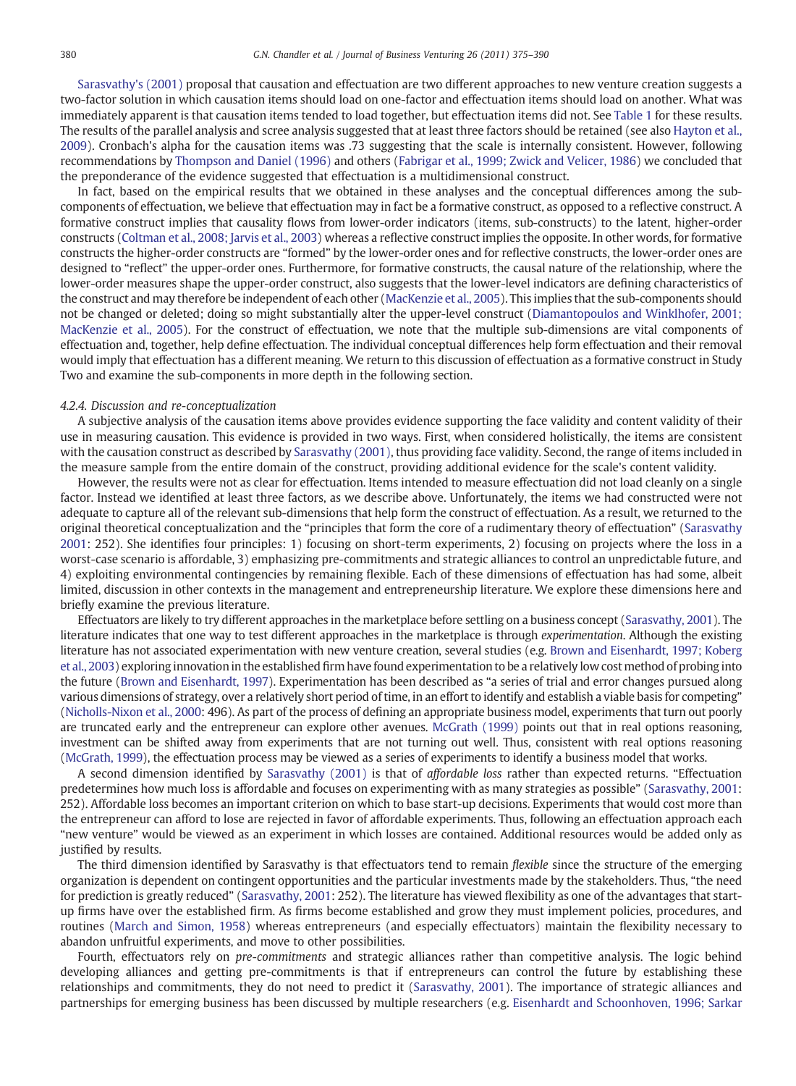[Sarasvathy's \(2001\)](#page-15-0) proposal that causation and effectuation are two different approaches to new venture creation suggests a two-factor solution in which causation items should load on one-factor and effectuation items should load on another. What was immediately apparent is that causation items tended to load together, but effectuation items did not. See [Table 1](#page-4-0) for these results. The results of the parallel analysis and scree analysis suggested that at least three factors should be retained (see also [Hayton et al.,](#page-14-0) [2009](#page-14-0)). Cronbach's alpha for the causation items was .73 suggesting that the scale is internally consistent. However, following recommendations by [Thompson and Daniel \(1996\)](#page-15-0) and others ([Fabrigar et al., 1999; Zwick and Velicer, 1986](#page-14-0)) we concluded that the preponderance of the evidence suggested that effectuation is a multidimensional construct.

In fact, based on the empirical results that we obtained in these analyses and the conceptual differences among the subcomponents of effectuation, we believe that effectuation may in fact be a formative construct, as opposed to a reflective construct. A formative construct implies that causality flows from lower-order indicators (items, sub-constructs) to the latent, higher-order constructs [\(Coltman et al., 2008; Jarvis et al., 2003\)](#page-14-0) whereas a reflective construct implies the opposite. In other words, for formative constructs the higher-order constructs are "formed" by the lower-order ones and for reflective constructs, the lower-order ones are designed to "reflect" the upper-order ones. Furthermore, for formative constructs, the causal nature of the relationship, where the lower-order measures shape the upper-order construct, also suggests that the lower-level indicators are defining characteristics of the construct and may therefore be independent of each other ([MacKenzie et al., 2005\)](#page-14-0). This implies that the sub-components should not be changed or deleted; doing so might substantially alter the upper-level construct [\(Diamantopoulos and Winklhofer, 2001;](#page-14-0) [MacKenzie et al., 2005](#page-14-0)). For the construct of effectuation, we note that the multiple sub-dimensions are vital components of effectuation and, together, help define effectuation. The individual conceptual differences help form effectuation and their removal would imply that effectuation has a different meaning. We return to this discussion of effectuation as a formative construct in Study Two and examine the sub-components in more depth in the following section.

#### 4.2.4. Discussion and re-conceptualization

A subjective analysis of the causation items above provides evidence supporting the face validity and content validity of their use in measuring causation. This evidence is provided in two ways. First, when considered holistically, the items are consistent with the causation construct as described by [Sarasvathy \(2001\)](#page-15-0), thus providing face validity. Second, the range of items included in the measure sample from the entire domain of the construct, providing additional evidence for the scale's content validity.

However, the results were not as clear for effectuation. Items intended to measure effectuation did not load cleanly on a single factor. Instead we identified at least three factors, as we describe above. Unfortunately, the items we had constructed were not adequate to capture all of the relevant sub-dimensions that help form the construct of effectuation. As a result, we returned to the original theoretical conceptualization and the "principles that form the core of a rudimentary theory of effectuation" [\(Sarasvathy](#page-15-0) [2001](#page-15-0): 252). She identifies four principles: 1) focusing on short-term experiments, 2) focusing on projects where the loss in a worst-case scenario is affordable, 3) emphasizing pre-commitments and strategic alliances to control an unpredictable future, and 4) exploiting environmental contingencies by remaining flexible. Each of these dimensions of effectuation has had some, albeit limited, discussion in other contexts in the management and entrepreneurship literature. We explore these dimensions here and briefly examine the previous literature.

Effectuators are likely to try different approaches in the marketplace before settling on a business concept ([Sarasvathy, 2001\)](#page-15-0). The literature indicates that one way to test different approaches in the marketplace is through experimentation. Although the existing literature has not associated experimentation with new venture creation, several studies (e.g. [Brown and Eisenhardt, 1997; Koberg](#page-13-0) [et al., 2003](#page-13-0)) exploring innovation in the established firm have found experimentation to be a relatively low costmethod of probing into the future [\(Brown and Eisenhardt, 1997\)](#page-13-0). Experimentation has been described as "a series of trial and error changes pursued along various dimensions of strategy, over a relatively short period of time, in an effort to identify and establish a viable basis for competing" ([Nicholls-Nixon et al., 2000](#page-14-0): 496). As part of the process of defining an appropriate business model, experiments that turn out poorly are truncated early and the entrepreneur can explore other avenues. [McGrath \(1999\)](#page-14-0) points out that in real options reasoning, investment can be shifted away from experiments that are not turning out well. Thus, consistent with real options reasoning ([McGrath, 1999](#page-14-0)), the effectuation process may be viewed as a series of experiments to identify a business model that works.

A second dimension identified by [Sarasvathy \(2001\)](#page-15-0) is that of affordable loss rather than expected returns. "Effectuation predetermines how much loss is affordable and focuses on experimenting with as many strategies as possible" ([Sarasvathy, 2001:](#page-15-0) 252). Affordable loss becomes an important criterion on which to base start-up decisions. Experiments that would cost more than the entrepreneur can afford to lose are rejected in favor of affordable experiments. Thus, following an effectuation approach each "new venture" would be viewed as an experiment in which losses are contained. Additional resources would be added only as justified by results.

The third dimension identified by Sarasvathy is that effectuators tend to remain flexible since the structure of the emerging organization is dependent on contingent opportunities and the particular investments made by the stakeholders. Thus, "the need for prediction is greatly reduced" [\(Sarasvathy, 2001:](#page-15-0) 252). The literature has viewed flexibility as one of the advantages that startup firms have over the established firm. As firms become established and grow they must implement policies, procedures, and routines [\(March and Simon, 1958\)](#page-14-0) whereas entrepreneurs (and especially effectuators) maintain the flexibility necessary to abandon unfruitful experiments, and move to other possibilities.

Fourth, effectuators rely on pre-commitments and strategic alliances rather than competitive analysis. The logic behind developing alliances and getting pre-commitments is that if entrepreneurs can control the future by establishing these relationships and commitments, they do not need to predict it ([Sarasvathy, 2001](#page-15-0)). The importance of strategic alliances and partnerships for emerging business has been discussed by multiple researchers (e.g. [Eisenhardt and Schoonhoven, 1996; Sarkar](#page-14-0)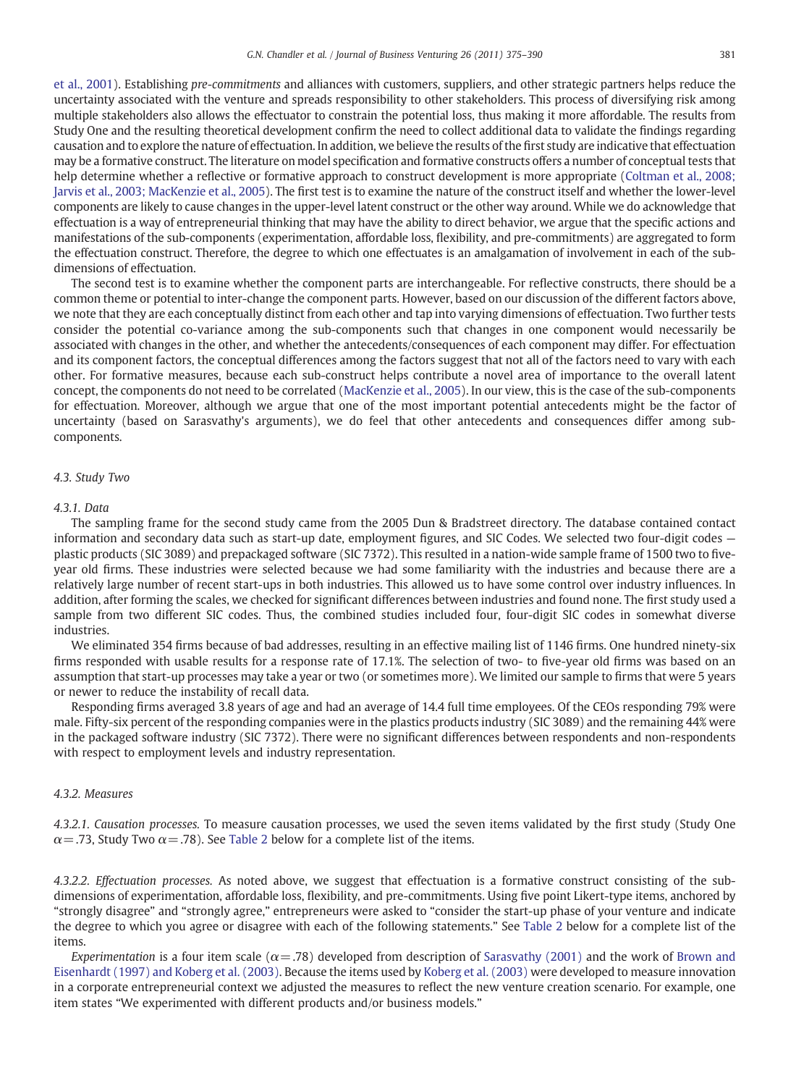[et al., 2001](#page-14-0)). Establishing pre-commitments and alliances with customers, suppliers, and other strategic partners helps reduce the uncertainty associated with the venture and spreads responsibility to other stakeholders. This process of diversifying risk among multiple stakeholders also allows the effectuator to constrain the potential loss, thus making it more affordable. The results from Study One and the resulting theoretical development confirm the need to collect additional data to validate the findings regarding causation and to explore the nature of effectuation. In addition, we believe the results of the first study are indicative that effectuation may be a formative construct. The literature on model specification and formative constructs offers a number of conceptual tests that help determine whether a reflective or formative approach to construct development is more appropriate ([Coltman et al., 2008;](#page-14-0) [Jarvis et al., 2003; MacKenzie et al., 2005](#page-14-0)). The first test is to examine the nature of the construct itself and whether the lower-level components are likely to cause changes in the upper-level latent construct or the other way around. While we do acknowledge that effectuation is a way of entrepreneurial thinking that may have the ability to direct behavior, we argue that the specific actions and manifestations of the sub-components (experimentation, affordable loss, flexibility, and pre-commitments) are aggregated to form the effectuation construct. Therefore, the degree to which one effectuates is an amalgamation of involvement in each of the subdimensions of effectuation.

The second test is to examine whether the component parts are interchangeable. For reflective constructs, there should be a common theme or potential to inter-change the component parts. However, based on our discussion of the different factors above, we note that they are each conceptually distinct from each other and tap into varying dimensions of effectuation. Two further tests consider the potential co-variance among the sub-components such that changes in one component would necessarily be associated with changes in the other, and whether the antecedents/consequences of each component may differ. For effectuation and its component factors, the conceptual differences among the factors suggest that not all of the factors need to vary with each other. For formative measures, because each sub-construct helps contribute a novel area of importance to the overall latent concept, the components do not need to be correlated [\(MacKenzie et al., 2005](#page-14-0)). In our view, this is the case of the sub-components for effectuation. Moreover, although we argue that one of the most important potential antecedents might be the factor of uncertainty (based on Sarasvathy's arguments), we do feel that other antecedents and consequences differ among subcomponents.

#### 4.3. Study Two

#### 4.3.1. Data

The sampling frame for the second study came from the 2005 Dun & Bradstreet directory. The database contained contact information and secondary data such as start-up date, employment figures, and SIC Codes. We selected two four-digit codes plastic products (SIC 3089) and prepackaged software (SIC 7372). This resulted in a nation-wide sample frame of 1500 two to fiveyear old firms. These industries were selected because we had some familiarity with the industries and because there are a relatively large number of recent start-ups in both industries. This allowed us to have some control over industry influences. In addition, after forming the scales, we checked for significant differences between industries and found none. The first study used a sample from two different SIC codes. Thus, the combined studies included four, four-digit SIC codes in somewhat diverse industries.

We eliminated 354 firms because of bad addresses, resulting in an effective mailing list of 1146 firms. One hundred ninety-six firms responded with usable results for a response rate of 17.1%. The selection of two- to five-year old firms was based on an assumption that start-up processes may take a year or two (or sometimes more). We limited our sample to firms that were 5 years or newer to reduce the instability of recall data.

Responding firms averaged 3.8 years of age and had an average of 14.4 full time employees. Of the CEOs responding 79% were male. Fifty-six percent of the responding companies were in the plastics products industry (SIC 3089) and the remaining 44% were in the packaged software industry (SIC 7372). There were no significant differences between respondents and non-respondents with respect to employment levels and industry representation.

#### 4.3.2. Measures

4.3.2.1. Causation processes. To measure causation processes, we used the seven items validated by the first study (Study One  $\alpha$  = .73, Study Two  $\alpha$  = .78). See [Table 2](#page-7-0) below for a complete list of the items.

4.3.2.2. Effectuation processes. As noted above, we suggest that effectuation is a formative construct consisting of the subdimensions of experimentation, affordable loss, flexibility, and pre-commitments. Using five point Likert-type items, anchored by "strongly disagree" and "strongly agree," entrepreneurs were asked to "consider the start-up phase of your venture and indicate the degree to which you agree or disagree with each of the following statements." See [Table 2](#page-7-0) below for a complete list of the items.

Experimentation is a four item scale ( $\alpha = .78$ ) developed from description of [Sarasvathy \(2001\)](#page-15-0) and the work of [Brown and](#page-13-0) [Eisenhardt \(1997\) and Koberg et al. \(2003\).](#page-13-0) Because the items used by [Koberg et al. \(2003\)](#page-14-0) were developed to measure innovation in a corporate entrepreneurial context we adjusted the measures to reflect the new venture creation scenario. For example, one item states "We experimented with different products and/or business models."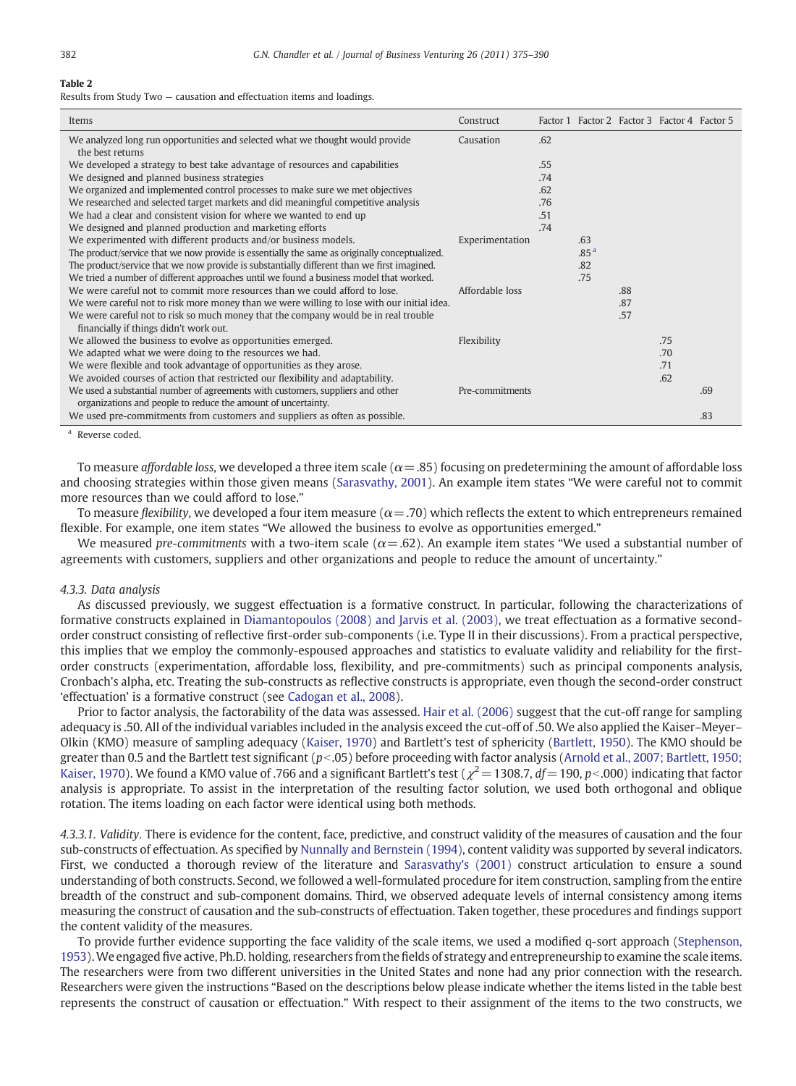# <span id="page-7-0"></span>Table 2

Results from Study Two — causation and effectuation items and loadings.

| Items                                                                                         | Construct       |     | Factor 1 Factor 2 Factor 3 Factor 4 Factor 5 |     |     |     |
|-----------------------------------------------------------------------------------------------|-----------------|-----|----------------------------------------------|-----|-----|-----|
| We analyzed long run opportunities and selected what we thought would provide                 | Causation       | .62 |                                              |     |     |     |
| the best returns                                                                              |                 |     |                                              |     |     |     |
| We developed a strategy to best take advantage of resources and capabilities                  |                 | .55 |                                              |     |     |     |
| We designed and planned business strategies                                                   |                 | .74 |                                              |     |     |     |
| We organized and implemented control processes to make sure we met objectives                 |                 | .62 |                                              |     |     |     |
| We researched and selected target markets and did meaningful competitive analysis             |                 | .76 |                                              |     |     |     |
| We had a clear and consistent vision for where we wanted to end up                            |                 | .51 |                                              |     |     |     |
| We designed and planned production and marketing efforts                                      |                 | .74 |                                              |     |     |     |
| We experimented with different products and/or business models.                               | Experimentation |     | .63                                          |     |     |     |
| The product/service that we now provide is essentially the same as originally conceptualized. |                 |     | .85 <sup>a</sup>                             |     |     |     |
| The product/service that we now provide is substantially different than we first imagined.    |                 |     | .82                                          |     |     |     |
| We tried a number of different approaches until we found a business model that worked.        |                 |     | .75                                          |     |     |     |
| We were careful not to commit more resources than we could afford to lose                     | Affordable loss |     |                                              | .88 |     |     |
| We were careful not to risk more money than we were willing to lose with our initial idea.    |                 |     |                                              | .87 |     |     |
| We were careful not to risk so much money that the company would be in real trouble           |                 |     |                                              | .57 |     |     |
| financially if things didn't work out.                                                        |                 |     |                                              |     |     |     |
| We allowed the business to evolve as opportunities emerged.                                   | Flexibility     |     |                                              |     | .75 |     |
| We adapted what we were doing to the resources we had.                                        |                 |     |                                              |     | .70 |     |
| We were flexible and took advantage of opportunities as they arose.                           |                 |     |                                              |     | .71 |     |
| We avoided courses of action that restricted our flexibility and adaptability.                |                 |     |                                              |     | .62 |     |
| We used a substantial number of agreements with customers, suppliers and other                | Pre-commitments |     |                                              |     |     | .69 |
| organizations and people to reduce the amount of uncertainty.                                 |                 |     |                                              |     |     |     |
| We used pre-commitments from customers and suppliers as often as possible.                    |                 |     |                                              |     |     | .83 |

Reverse coded.

To measure affordable loss, we developed a three item scale ( $\alpha = 0.85$ ) focusing on predetermining the amount of affordable loss and choosing strategies within those given means [\(Sarasvathy, 2001](#page-15-0)). An example item states "We were careful not to commit more resources than we could afford to lose."

To measure flexibility, we developed a four item measure ( $\alpha$  = .70) which reflects the extent to which entrepreneurs remained flexible. For example, one item states "We allowed the business to evolve as opportunities emerged."

We measured pre-commitments with a two-item scale ( $\alpha$  = .62). An example item states "We used a substantial number of agreements with customers, suppliers and other organizations and people to reduce the amount of uncertainty."

# 4.3.3. Data analysis

As discussed previously, we suggest effectuation is a formative construct. In particular, following the characterizations of formative constructs explained in [Diamantopoulos \(2008\) and Jarvis et al. \(2003\),](#page-14-0) we treat effectuation as a formative secondorder construct consisting of reflective first-order sub-components (i.e. Type II in their discussions). From a practical perspective, this implies that we employ the commonly-espoused approaches and statistics to evaluate validity and reliability for the firstorder constructs (experimentation, affordable loss, flexibility, and pre-commitments) such as principal components analysis, Cronbach's alpha, etc. Treating the sub-constructs as reflective constructs is appropriate, even though the second-order construct 'effectuation' is a formative construct (see [Cadogan et al., 2008](#page-13-0)).

Prior to factor analysis, the factorability of the data was assessed. [Hair et al. \(2006\)](#page-14-0) suggest that the cut-off range for sampling adequacy is .50. All of the individual variables included in the analysis exceed the cut-off of .50. We also applied the Kaiser–Meyer– Olkin (KMO) measure of sampling adequacy ([Kaiser, 1970](#page-14-0)) and Bartlett's test of sphericity [\(Bartlett, 1950\)](#page-13-0). The KMO should be greater than 0.5 and the Bartlett test significant ( $p<0.05$ ) before proceeding with factor analysis ([Arnold et al., 2007; Bartlett, 1950;](#page-13-0) [Kaiser, 1970\)](#page-13-0). We found a KMO value of .766 and a significant Bartlett's test ( $\chi^2$  = 1308.7, df = 190, p < 000) indicating that factor analysis is appropriate. To assist in the interpretation of the resulting factor solution, we used both orthogonal and oblique rotation. The items loading on each factor were identical using both methods.

4.3.3.1. Validity. There is evidence for the content, face, predictive, and construct validity of the measures of causation and the four sub-constructs of effectuation. As specified by [Nunnally and Bernstein \(1994\)](#page-14-0), content validity was supported by several indicators. First, we conducted a thorough review of the literature and [Sarasvathy's \(2001\)](#page-15-0) construct articulation to ensure a sound understanding of both constructs. Second, we followed a well-formulated procedure for item construction, sampling from the entire breadth of the construct and sub-component domains. Third, we observed adequate levels of internal consistency among items measuring the construct of causation and the sub-constructs of effectuation. Taken together, these procedures and findings support the content validity of the measures.

To provide further evidence supporting the face validity of the scale items, we used a modified q-sort approach ([Stephenson,](#page-15-0) [1953](#page-15-0)).We engaged five active, Ph.D. holding, researchers from the fields of strategy and entrepreneurship to examine the scale items. The researchers were from two different universities in the United States and none had any prior connection with the research. Researchers were given the instructions "Based on the descriptions below please indicate whether the items listed in the table best represents the construct of causation or effectuation." With respect to their assignment of the items to the two constructs, we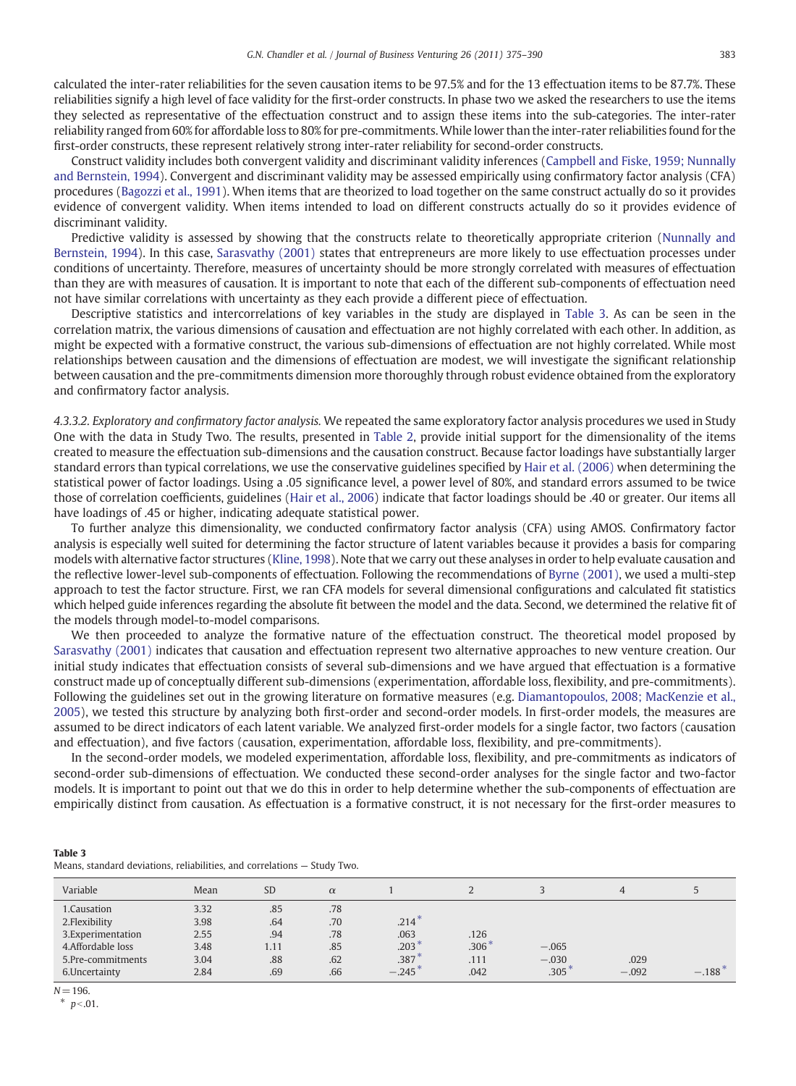<span id="page-8-0"></span>calculated the inter-rater reliabilities for the seven causation items to be 97.5% and for the 13 effectuation items to be 87.7%. These reliabilities signify a high level of face validity for the first-order constructs. In phase two we asked the researchers to use the items they selected as representative of the effectuation construct and to assign these items into the sub-categories. The inter-rater reliability ranged from 60% for affordable loss to 80% for pre-commitments.While lower than the inter-rater reliabilities found for the first-order constructs, these represent relatively strong inter-rater reliability for second-order constructs.

Construct validity includes both convergent validity and discriminant validity inferences [\(Campbell and Fiske, 1959; Nunnally](#page-14-0) [and Bernstein, 1994](#page-14-0)). Convergent and discriminant validity may be assessed empirically using confirmatory factor analysis (CFA) procedures ([Bagozzi et al., 1991\)](#page-13-0). When items that are theorized to load together on the same construct actually do so it provides evidence of convergent validity. When items intended to load on different constructs actually do so it provides evidence of discriminant validity.

Predictive validity is assessed by showing that the constructs relate to theoretically appropriate criterion ([Nunnally and](#page-14-0) [Bernstein, 1994](#page-14-0)). In this case, [Sarasvathy \(2001\)](#page-15-0) states that entrepreneurs are more likely to use effectuation processes under conditions of uncertainty. Therefore, measures of uncertainty should be more strongly correlated with measures of effectuation than they are with measures of causation. It is important to note that each of the different sub-components of effectuation need not have similar correlations with uncertainty as they each provide a different piece of effectuation.

Descriptive statistics and intercorrelations of key variables in the study are displayed in Table 3. As can be seen in the correlation matrix, the various dimensions of causation and effectuation are not highly correlated with each other. In addition, as might be expected with a formative construct, the various sub-dimensions of effectuation are not highly correlated. While most relationships between causation and the dimensions of effectuation are modest, we will investigate the significant relationship between causation and the pre-commitments dimension more thoroughly through robust evidence obtained from the exploratory and confirmatory factor analysis.

4.3.3.2. Exploratory and confirmatory factor analysis. We repeated the same exploratory factor analysis procedures we used in Study One with the data in Study Two. The results, presented in [Table 2,](#page-7-0) provide initial support for the dimensionality of the items created to measure the effectuation sub-dimensions and the causation construct. Because factor loadings have substantially larger standard errors than typical correlations, we use the conservative guidelines specified by [Hair et al. \(2006\)](#page-14-0) when determining the statistical power of factor loadings. Using a .05 significance level, a power level of 80%, and standard errors assumed to be twice those of correlation coefficients, guidelines [\(Hair et al., 2006\)](#page-14-0) indicate that factor loadings should be .40 or greater. Our items all have loadings of .45 or higher, indicating adequate statistical power.

To further analyze this dimensionality, we conducted confirmatory factor analysis (CFA) using AMOS. Confirmatory factor analysis is especially well suited for determining the factor structure of latent variables because it provides a basis for comparing models with alternative factor structures [\(Kline, 1998](#page-14-0)). Note that we carry out these analyses in order to help evaluate causation and the reflective lower-level sub-components of effectuation. Following the recommendations of [Byrne \(2001\)](#page-13-0), we used a multi-step approach to test the factor structure. First, we ran CFA models for several dimensional configurations and calculated fit statistics which helped guide inferences regarding the absolute fit between the model and the data. Second, we determined the relative fit of the models through model-to-model comparisons.

We then proceeded to analyze the formative nature of the effectuation construct. The theoretical model proposed by [Sarasvathy \(2001\)](#page-15-0) indicates that causation and effectuation represent two alternative approaches to new venture creation. Our initial study indicates that effectuation consists of several sub-dimensions and we have argued that effectuation is a formative construct made up of conceptually different sub-dimensions (experimentation, affordable loss, flexibility, and pre-commitments). Following the guidelines set out in the growing literature on formative measures (e.g. [Diamantopoulos, 2008; MacKenzie et al.,](#page-14-0) [2005](#page-14-0)), we tested this structure by analyzing both first-order and second-order models. In first-order models, the measures are assumed to be direct indicators of each latent variable. We analyzed first-order models for a single factor, two factors (causation and effectuation), and five factors (causation, experimentation, affordable loss, flexibility, and pre-commitments).

In the second-order models, we modeled experimentation, affordable loss, flexibility, and pre-commitments as indicators of second-order sub-dimensions of effectuation. We conducted these second-order analyses for the single factor and two-factor models. It is important to point out that we do this in order to help determine whether the sub-components of effectuation are empirically distinct from causation. As effectuation is a formative construct, it is not necessary for the first-order measures to

| Table 3 |  |  |                                                                          |  |
|---------|--|--|--------------------------------------------------------------------------|--|
|         |  |  | Means, standard deviations, reliabilities, and correlations - Study Two. |  |

| Variable           | Mean | <b>SD</b> | $\alpha$ |          |         |         |         |          |
|--------------------|------|-----------|----------|----------|---------|---------|---------|----------|
| 1.Causation        | 3.32 | .85       | .78      |          |         |         |         |          |
| 2. Flexibility     | 3.98 | .64       | .70      | $.214*$  |         |         |         |          |
| 3. Experimentation | 2.55 | .94       | .78      | .063     | .126    |         |         |          |
| 4. Affordable loss | 3.48 | 1.11      | .85      | $.203*$  | $.306*$ | $-.065$ |         |          |
| 5.Pre-commitments  | 3.04 | .88       | .62      | $.387*$  | .111    | $-.030$ | .029    |          |
| 6.Uncertainty      | 2.84 | .69       | .66      | $-.245*$ | .042    | $.305*$ | $-.092$ | $-.188*$ |

 $N = 196$ .

 $*$   $p < .01$ .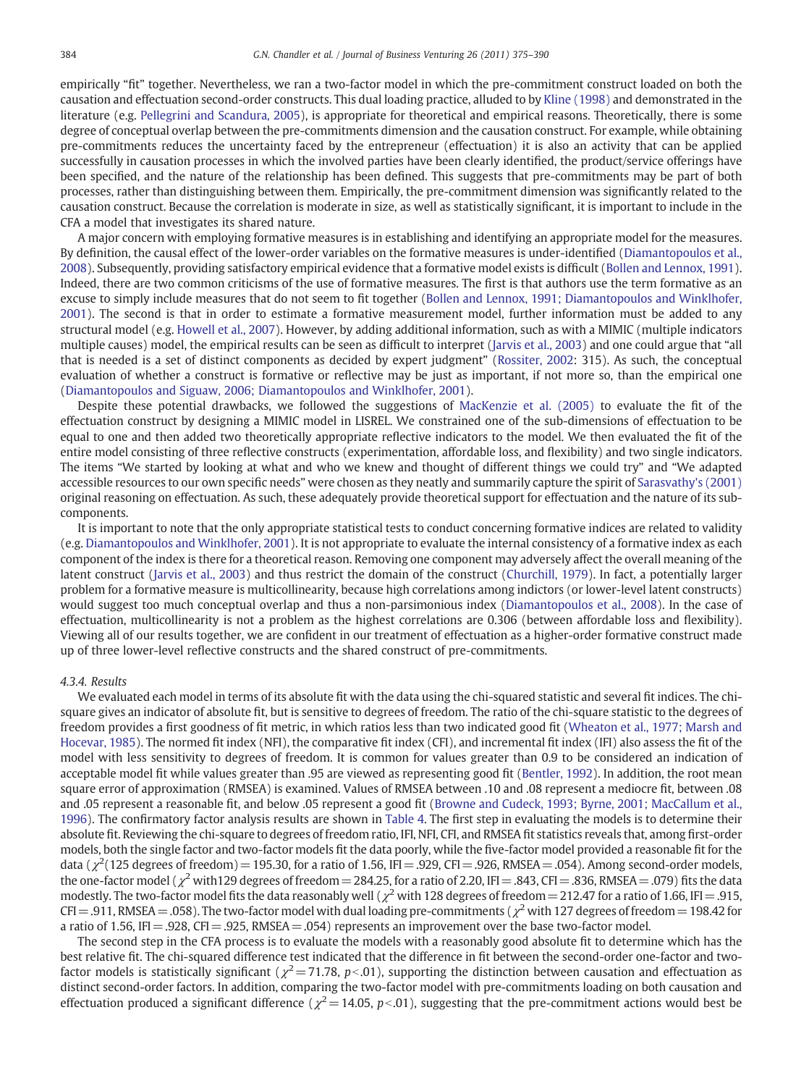empirically "fit" together. Nevertheless, we ran a two-factor model in which the pre-commitment construct loaded on both the causation and effectuation second-order constructs. This dual loading practice, alluded to by [Kline \(1998\)](#page-14-0) and demonstrated in the literature (e.g. [Pellegrini and Scandura, 2005](#page-14-0)), is appropriate for theoretical and empirical reasons. Theoretically, there is some degree of conceptual overlap between the pre-commitments dimension and the causation construct. For example, while obtaining pre-commitments reduces the uncertainty faced by the entrepreneur (effectuation) it is also an activity that can be applied successfully in causation processes in which the involved parties have been clearly identified, the product/service offerings have been specified, and the nature of the relationship has been defined. This suggests that pre-commitments may be part of both processes, rather than distinguishing between them. Empirically, the pre-commitment dimension was significantly related to the causation construct. Because the correlation is moderate in size, as well as statistically significant, it is important to include in the CFA a model that investigates its shared nature.

A major concern with employing formative measures is in establishing and identifying an appropriate model for the measures. By definition, the causal effect of the lower-order variables on the formative measures is under-identified ([Diamantopoulos et al.,](#page-14-0) [2008](#page-14-0)). Subsequently, providing satisfactory empirical evidence that a formative model exists is difficult [\(Bollen and Lennox, 1991](#page-13-0)). Indeed, there are two common criticisms of the use of formative measures. The first is that authors use the term formative as an excuse to simply include measures that do not seem to fit together [\(Bollen and Lennox, 1991; Diamantopoulos and Winklhofer,](#page-13-0) [2001](#page-13-0)). The second is that in order to estimate a formative measurement model, further information must be added to any structural model (e.g. [Howell et al., 2007](#page-14-0)). However, by adding additional information, such as with a MIMIC (multiple indicators multiple causes) model, the empirical results can be seen as difficult to interpret ([Jarvis et al., 2003\)](#page-14-0) and one could argue that "all that is needed is a set of distinct components as decided by expert judgment" [\(Rossiter, 2002](#page-15-0): 315). As such, the conceptual evaluation of whether a construct is formative or reflective may be just as important, if not more so, than the empirical one ([Diamantopoulos and Siguaw, 2006; Diamantopoulos and Winklhofer, 2001](#page-14-0)).

Despite these potential drawbacks, we followed the suggestions of [MacKenzie et al. \(2005\)](#page-14-0) to evaluate the fit of the effectuation construct by designing a MIMIC model in LISREL. We constrained one of the sub-dimensions of effectuation to be equal to one and then added two theoretically appropriate reflective indicators to the model. We then evaluated the fit of the entire model consisting of three reflective constructs (experimentation, affordable loss, and flexibility) and two single indicators. The items "We started by looking at what and who we knew and thought of different things we could try" and "We adapted accessible resources to our own specific needs" were chosen as they neatly and summarily capture the spirit of [Sarasvathy's \(2001\)](#page-15-0) original reasoning on effectuation. As such, these adequately provide theoretical support for effectuation and the nature of its subcomponents.

It is important to note that the only appropriate statistical tests to conduct concerning formative indices are related to validity (e.g. [Diamantopoulos and Winklhofer, 2001](#page-14-0)). It is not appropriate to evaluate the internal consistency of a formative index as each component of the index is there for a theoretical reason. Removing one component may adversely affect the overall meaning of the latent construct [\(Jarvis et al., 2003](#page-14-0)) and thus restrict the domain of the construct ([Churchill, 1979](#page-14-0)). In fact, a potentially larger problem for a formative measure is multicollinearity, because high correlations among indictors (or lower-level latent constructs) would suggest too much conceptual overlap and thus a non-parsimonious index ([Diamantopoulos et al., 2008](#page-14-0)). In the case of effectuation, multicollinearity is not a problem as the highest correlations are 0.306 (between affordable loss and flexibility). Viewing all of our results together, we are confident in our treatment of effectuation as a higher-order formative construct made up of three lower-level reflective constructs and the shared construct of pre-commitments.

#### 4.3.4. Results

We evaluated each model in terms of its absolute fit with the data using the chi-squared statistic and several fit indices. The chisquare gives an indicator of absolute fit, but is sensitive to degrees of freedom. The ratio of the chi-square statistic to the degrees of freedom provides a first goodness of fit metric, in which ratios less than two indicated good fit ([Wheaton et al., 1977; Marsh and](#page-15-0) [Hocevar, 1985\)](#page-15-0). The normed fit index (NFI), the comparative fit index (CFI), and incremental fit index (IFI) also assess the fit of the model with less sensitivity to degrees of freedom. It is common for values greater than 0.9 to be considered an indication of acceptable model fit while values greater than .95 are viewed as representing good fit ([Bentler, 1992](#page-13-0)). In addition, the root mean square error of approximation (RMSEA) is examined. Values of RMSEA between .10 and .08 represent a mediocre fit, between .08 and .05 represent a reasonable fit, and below .05 represent a good fit [\(Browne and Cudeck, 1993; Byrne, 2001; MacCallum et al.,](#page-13-0) [1996](#page-13-0)). The confirmatory factor analysis results are shown in [Table 4](#page-10-0). The first step in evaluating the models is to determine their absolute fit. Reviewing the chi-square to degrees of freedom ratio, IFI, NFI, CFI, and RMSEA fit statistics reveals that, among first-order models, both the single factor and two-factor models fit the data poorly, while the five-factor model provided a reasonable fit for the data ( $\chi^2$ (125 degrees of freedom) = 195.30, for a ratio of 1.56, IFI = .929, CFI = .926, RMSEA = .054). Among second-order models, the one-factor model ( $\chi^2$  with129 degrees of freedom = 284.25, for a ratio of 2.20, IFI = .843, CFI = .836, RMSEA = .079) fits the data modestly. The two-factor model fits the data reasonably well ( $\chi^2$  with 128 degrees of freedom = 212.47 for a ratio of 1.66, IFI = .915,  $CFI = .911$ , RMSEA = .058). The two-factor model with dual loading pre-commitments ( $\chi^2$  with 127 degrees of freedom = 198.42 for a ratio of 1.56, IFI = .928, CFI = .925, RMSEA = .054) represents an improvement over the base two-factor model.

The second step in the CFA process is to evaluate the models with a reasonably good absolute fit to determine which has the best relative fit. The chi-squared difference test indicated that the difference in fit between the second-order one-factor and twofactor models is statistically significant ( $\chi^2$  = 71.78, p < 01), supporting the distinction between causation and effectuation as distinct second-order factors. In addition, comparing the two-factor model with pre-commitments loading on both causation and effectuation produced a significant difference ( $\chi^2$  = 14.05, p<.01), suggesting that the pre-commitment actions would best be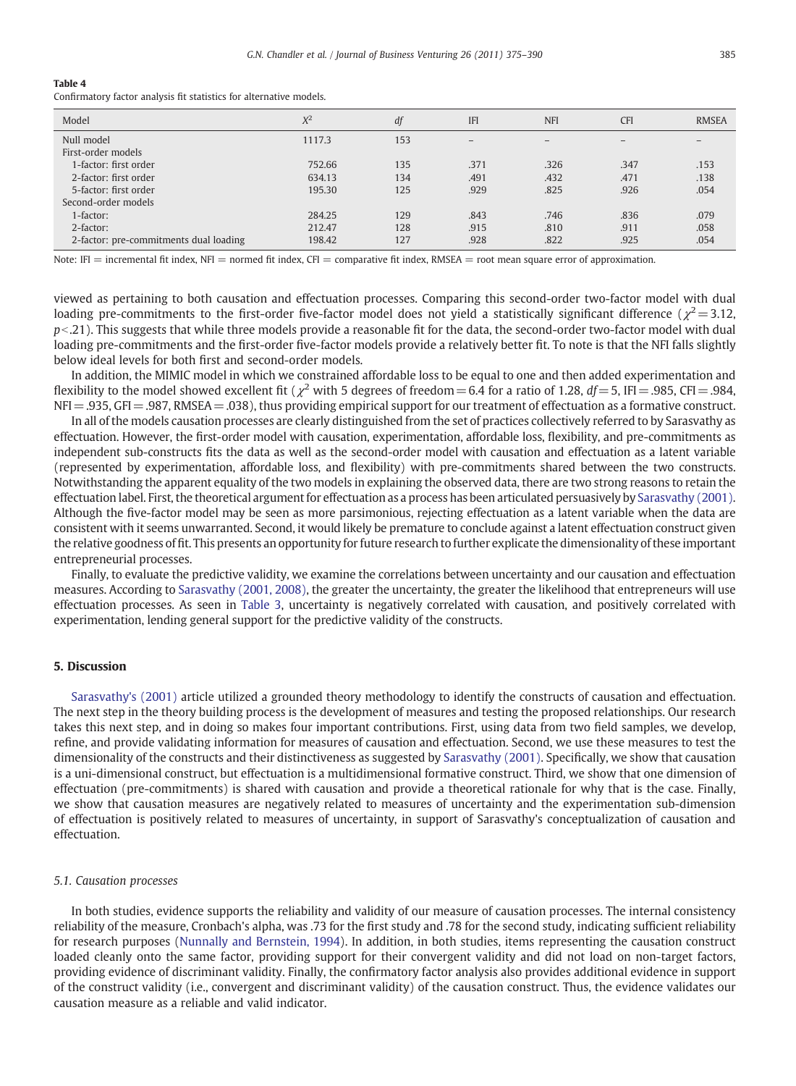# <span id="page-10-0"></span>Table 4

Confirmatory factor analysis fit statistics for alternative models.

| Model                                  | $X^2$  | df  | <b>IFI</b> | <b>NFI</b> | <b>CFI</b> | <b>RMSEA</b> |
|----------------------------------------|--------|-----|------------|------------|------------|--------------|
| Null model                             | 1117.3 | 153 |            |            |            |              |
| First-order models                     |        |     |            |            |            |              |
| 1-factor: first order                  | 752.66 | 135 | .371       | .326       | .347       | .153         |
| 2-factor: first order                  | 634.13 | 134 | .491       | .432       | .471       | .138         |
| 5-factor: first order                  | 195.30 | 125 | .929       | .825       | .926       | .054         |
| Second-order models                    |        |     |            |            |            |              |
| 1-factor:                              | 284.25 | 129 | .843       | .746       | .836       | .079         |
| 2-factor:                              | 212.47 | 128 | .915       | .810       | .911       | .058         |
| 2-factor: pre-commitments dual loading | 198.42 | 127 | .928       | .822       | .925       | .054         |

Note: IFI = incremental fit index, NFI = normed fit index, CFI = comparative fit index, RMSEA = root mean square error of approximation.

viewed as pertaining to both causation and effectuation processes. Comparing this second-order two-factor model with dual loading pre-commitments to the first-order five-factor model does not yield a statistically significant difference ( $\chi^2$  = 3.12,  $p<sub>21</sub>$ . This suggests that while three models provide a reasonable fit for the data, the second-order two-factor model with dual loading pre-commitments and the first-order five-factor models provide a relatively better fit. To note is that the NFI falls slightly below ideal levels for both first and second-order models.

In addition, the MIMIC model in which we constrained affordable loss to be equal to one and then added experimentation and flexibility to the model showed excellent fit ( $\chi^2$  with 5 degrees of freedom = 6.4 for a ratio of 1.28, df = 5, IFI = .985, CFI = .984, NFI= .935, GFI= .987, RMSEA= .038), thus providing empirical support for our treatment of effectuation as a formative construct.

In all of the models causation processes are clearly distinguished from the set of practices collectively referred to by Sarasvathy as effectuation. However, the first-order model with causation, experimentation, affordable loss, flexibility, and pre-commitments as independent sub-constructs fits the data as well as the second-order model with causation and effectuation as a latent variable (represented by experimentation, affordable loss, and flexibility) with pre-commitments shared between the two constructs. Notwithstanding the apparent equality of the two models in explaining the observed data, there are two strong reasons to retain the effectuation label. First, the theoretical argument for effectuation as a process has been articulated persuasively by [Sarasvathy \(2001\)](#page-15-0). Although the five-factor model may be seen as more parsimonious, rejecting effectuation as a latent variable when the data are consistent with it seems unwarranted. Second, it would likely be premature to conclude against a latent effectuation construct given the relative goodness of fit. This presents an opportunity for future research to further explicate the dimensionality of these important entrepreneurial processes.

Finally, to evaluate the predictive validity, we examine the correlations between uncertainty and our causation and effectuation measures. According to [Sarasvathy \(2001, 2008\)](#page-15-0), the greater the uncertainty, the greater the likelihood that entrepreneurs will use effectuation processes. As seen in [Table 3](#page-8-0), uncertainty is negatively correlated with causation, and positively correlated with experimentation, lending general support for the predictive validity of the constructs.

#### 5. Discussion

[Sarasvathy's \(2001\)](#page-15-0) article utilized a grounded theory methodology to identify the constructs of causation and effectuation. The next step in the theory building process is the development of measures and testing the proposed relationships. Our research takes this next step, and in doing so makes four important contributions. First, using data from two field samples, we develop, refine, and provide validating information for measures of causation and effectuation. Second, we use these measures to test the dimensionality of the constructs and their distinctiveness as suggested by [Sarasvathy \(2001\).](#page-15-0) Specifically, we show that causation is a uni-dimensional construct, but effectuation is a multidimensional formative construct. Third, we show that one dimension of effectuation (pre-commitments) is shared with causation and provide a theoretical rationale for why that is the case. Finally, we show that causation measures are negatively related to measures of uncertainty and the experimentation sub-dimension of effectuation is positively related to measures of uncertainty, in support of Sarasvathy's conceptualization of causation and effectuation.

#### 5.1. Causation processes

In both studies, evidence supports the reliability and validity of our measure of causation processes. The internal consistency reliability of the measure, Cronbach's alpha, was .73 for the first study and .78 for the second study, indicating sufficient reliability for research purposes ([Nunnally and Bernstein, 1994](#page-14-0)). In addition, in both studies, items representing the causation construct loaded cleanly onto the same factor, providing support for their convergent validity and did not load on non-target factors, providing evidence of discriminant validity. Finally, the confirmatory factor analysis also provides additional evidence in support of the construct validity (i.e., convergent and discriminant validity) of the causation construct. Thus, the evidence validates our causation measure as a reliable and valid indicator.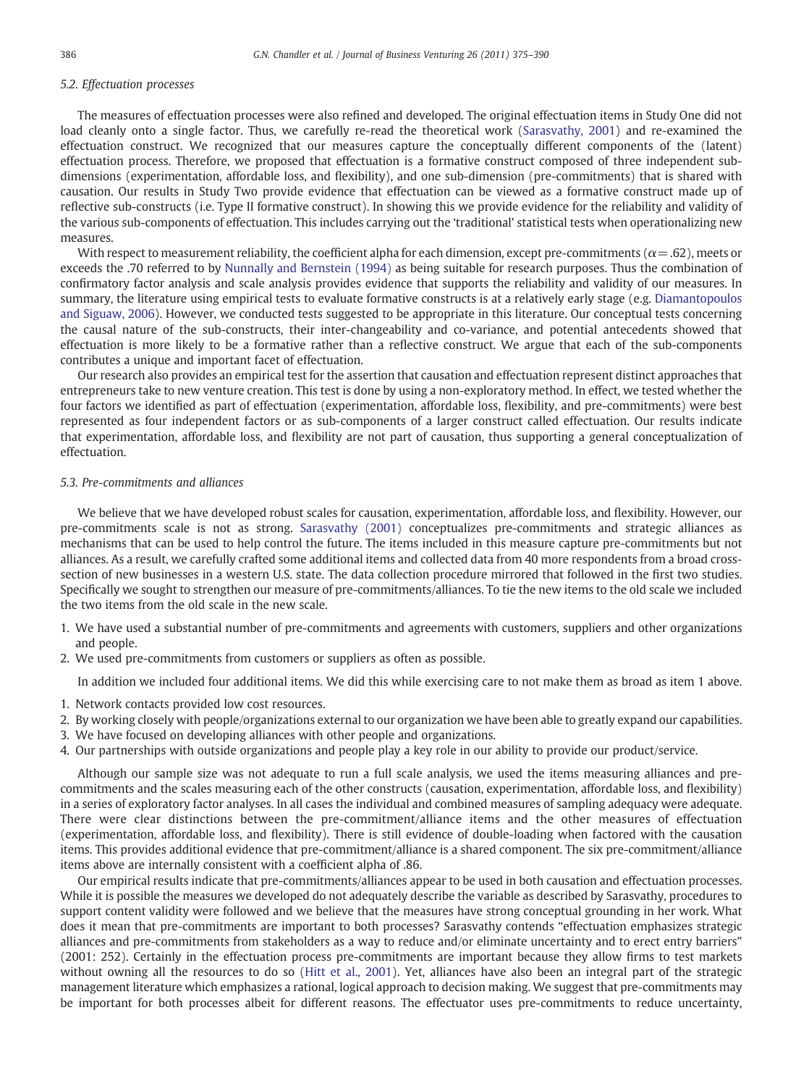# 5.2. Effectuation processes

The measures of effectuation processes were also refined and developed. The original effectuation items in Study One did not load cleanly onto a single factor. Thus, we carefully re-read the theoretical work ([Sarasvathy, 2001\)](#page-15-0) and re-examined the effectuation construct. We recognized that our measures capture the conceptually different components of the (latent) effectuation process. Therefore, we proposed that effectuation is a formative construct composed of three independent subdimensions (experimentation, affordable loss, and flexibility), and one sub-dimension (pre-commitments) that is shared with causation. Our results in Study Two provide evidence that effectuation can be viewed as a formative construct made up of reflective sub-constructs (i.e. Type II formative construct). In showing this we provide evidence for the reliability and validity of the various sub-components of effectuation. This includes carrying out the 'traditional' statistical tests when operationalizing new measures.

With respect to measurement reliability, the coefficient alpha for each dimension, except pre-commitments ( $\alpha$  = .62), meets or exceeds the .70 referred to by [Nunnally and Bernstein \(1994\)](#page-14-0) as being suitable for research purposes. Thus the combination of confirmatory factor analysis and scale analysis provides evidence that supports the reliability and validity of our measures. In summary, the literature using empirical tests to evaluate formative constructs is at a relatively early stage (e.g. [Diamantopoulos](#page-14-0) [and Siguaw, 2006\)](#page-14-0). However, we conducted tests suggested to be appropriate in this literature. Our conceptual tests concerning the causal nature of the sub-constructs, their inter-changeability and co-variance, and potential antecedents showed that effectuation is more likely to be a formative rather than a reflective construct. We argue that each of the sub-components contributes a unique and important facet of effectuation.

Our research also provides an empirical test for the assertion that causation and effectuation represent distinct approaches that entrepreneurs take to new venture creation. This test is done by using a non-exploratory method. In effect, we tested whether the four factors we identified as part of effectuation (experimentation, affordable loss, flexibility, and pre-commitments) were best represented as four independent factors or as sub-components of a larger construct called effectuation. Our results indicate that experimentation, affordable loss, and flexibility are not part of causation, thus supporting a general conceptualization of effectuation.

# 5.3. Pre-commitments and alliances

We believe that we have developed robust scales for causation, experimentation, affordable loss, and flexibility. However, our pre-commitments scale is not as strong. [Sarasvathy \(2001\)](#page-15-0) conceptualizes pre-commitments and strategic alliances as mechanisms that can be used to help control the future. The items included in this measure capture pre-commitments but not alliances. As a result, we carefully crafted some additional items and collected data from 40 more respondents from a broad crosssection of new businesses in a western U.S. state. The data collection procedure mirrored that followed in the first two studies. Specifically we sought to strengthen our measure of pre-commitments/alliances. To tie the new items to the old scale we included the two items from the old scale in the new scale.

- 1. We have used a substantial number of pre-commitments and agreements with customers, suppliers and other organizations and people.
- 2. We used pre-commitments from customers or suppliers as often as possible.

In addition we included four additional items. We did this while exercising care to not make them as broad as item 1 above.

- 1. Network contacts provided low cost resources.
- 2. By working closely with people/organizations external to our organization we have been able to greatly expand our capabilities.
- 3. We have focused on developing alliances with other people and organizations.
- 4. Our partnerships with outside organizations and people play a key role in our ability to provide our product/service.

Although our sample size was not adequate to run a full scale analysis, we used the items measuring alliances and precommitments and the scales measuring each of the other constructs (causation, experimentation, affordable loss, and flexibility) in a series of exploratory factor analyses. In all cases the individual and combined measures of sampling adequacy were adequate. There were clear distinctions between the pre-commitment/alliance items and the other measures of effectuation (experimentation, affordable loss, and flexibility). There is still evidence of double-loading when factored with the causation items. This provides additional evidence that pre-commitment/alliance is a shared component. The six pre-commitment/alliance items above are internally consistent with a coefficient alpha of .86.

Our empirical results indicate that pre-commitments/alliances appear to be used in both causation and effectuation processes. While it is possible the measures we developed do not adequately describe the variable as described by Sarasvathy, procedures to support content validity were followed and we believe that the measures have strong conceptual grounding in her work. What does it mean that pre-commitments are important to both processes? Sarasvathy contends "effectuation emphasizes strategic alliances and pre-commitments from stakeholders as a way to reduce and/or eliminate uncertainty and to erect entry barriers" (2001: 252). Certainly in the effectuation process pre-commitments are important because they allow firms to test markets without owning all the resources to do so ([Hitt et al., 2001](#page-14-0)). Yet, alliances have also been an integral part of the strategic management literature which emphasizes a rational, logical approach to decision making. We suggest that pre-commitments may be important for both processes albeit for different reasons. The effectuator uses pre-commitments to reduce uncertainty,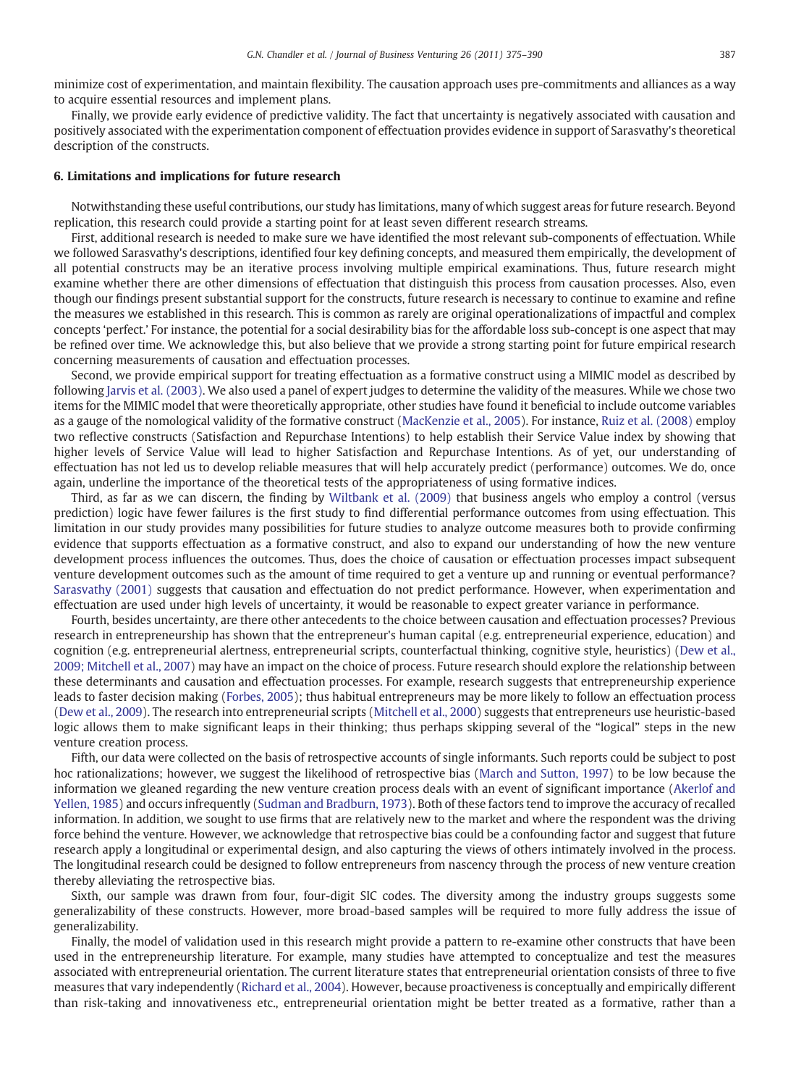minimize cost of experimentation, and maintain flexibility. The causation approach uses pre-commitments and alliances as a way to acquire essential resources and implement plans.

Finally, we provide early evidence of predictive validity. The fact that uncertainty is negatively associated with causation and positively associated with the experimentation component of effectuation provides evidence in support of Sarasvathy's theoretical description of the constructs.

#### 6. Limitations and implications for future research

Notwithstanding these useful contributions, our study has limitations, many of which suggest areas for future research. Beyond replication, this research could provide a starting point for at least seven different research streams.

First, additional research is needed to make sure we have identified the most relevant sub-components of effectuation. While we followed Sarasvathy's descriptions, identified four key defining concepts, and measured them empirically, the development of all potential constructs may be an iterative process involving multiple empirical examinations. Thus, future research might examine whether there are other dimensions of effectuation that distinguish this process from causation processes. Also, even though our findings present substantial support for the constructs, future research is necessary to continue to examine and refine the measures we established in this research. This is common as rarely are original operationalizations of impactful and complex concepts 'perfect.' For instance, the potential for a social desirability bias for the affordable loss sub-concept is one aspect that may be refined over time. We acknowledge this, but also believe that we provide a strong starting point for future empirical research concerning measurements of causation and effectuation processes.

Second, we provide empirical support for treating effectuation as a formative construct using a MIMIC model as described by following [Jarvis et al. \(2003\).](#page-14-0) We also used a panel of expert judges to determine the validity of the measures. While we chose two items for the MIMIC model that were theoretically appropriate, other studies have found it beneficial to include outcome variables as a gauge of the nomological validity of the formative construct ([MacKenzie et al., 2005](#page-14-0)). For instance, [Ruiz et al. \(2008\)](#page-15-0) employ two reflective constructs (Satisfaction and Repurchase Intentions) to help establish their Service Value index by showing that higher levels of Service Value will lead to higher Satisfaction and Repurchase Intentions. As of yet, our understanding of effectuation has not led us to develop reliable measures that will help accurately predict (performance) outcomes. We do, once again, underline the importance of the theoretical tests of the appropriateness of using formative indices.

Third, as far as we can discern, the finding by [Wiltbank et al. \(2009\)](#page-15-0) that business angels who employ a control (versus prediction) logic have fewer failures is the first study to find differential performance outcomes from using effectuation. This limitation in our study provides many possibilities for future studies to analyze outcome measures both to provide confirming evidence that supports effectuation as a formative construct, and also to expand our understanding of how the new venture development process influences the outcomes. Thus, does the choice of causation or effectuation processes impact subsequent venture development outcomes such as the amount of time required to get a venture up and running or eventual performance? [Sarasvathy \(2001\)](#page-15-0) suggests that causation and effectuation do not predict performance. However, when experimentation and effectuation are used under high levels of uncertainty, it would be reasonable to expect greater variance in performance.

Fourth, besides uncertainty, are there other antecedents to the choice between causation and effectuation processes? Previous research in entrepreneurship has shown that the entrepreneur's human capital (e.g. entrepreneurial experience, education) and cognition (e.g. entrepreneurial alertness, entrepreneurial scripts, counterfactual thinking, cognitive style, heuristics) ([Dew et al.,](#page-14-0) [2009; Mitchell et al., 2007](#page-14-0)) may have an impact on the choice of process. Future research should explore the relationship between these determinants and causation and effectuation processes. For example, research suggests that entrepreneurship experience leads to faster decision making ([Forbes, 2005\)](#page-14-0); thus habitual entrepreneurs may be more likely to follow an effectuation process [\(Dew et al., 2009](#page-14-0)). The research into entrepreneurial scripts ([Mitchell et al., 2000\)](#page-14-0) suggests that entrepreneurs use heuristic-based logic allows them to make significant leaps in their thinking; thus perhaps skipping several of the "logical" steps in the new venture creation process.

Fifth, our data were collected on the basis of retrospective accounts of single informants. Such reports could be subject to post hoc rationalizations; however, we suggest the likelihood of retrospective bias ([March and Sutton, 1997](#page-14-0)) to be low because the information we gleaned regarding the new venture creation process deals with an event of significant importance ([Akerlof and](#page-13-0) [Yellen, 1985](#page-13-0)) and occurs infrequently [\(Sudman and Bradburn, 1973\)](#page-15-0). Both of these factors tend to improve the accuracy of recalled information. In addition, we sought to use firms that are relatively new to the market and where the respondent was the driving force behind the venture. However, we acknowledge that retrospective bias could be a confounding factor and suggest that future research apply a longitudinal or experimental design, and also capturing the views of others intimately involved in the process. The longitudinal research could be designed to follow entrepreneurs from nascency through the process of new venture creation thereby alleviating the retrospective bias.

Sixth, our sample was drawn from four, four-digit SIC codes. The diversity among the industry groups suggests some generalizability of these constructs. However, more broad-based samples will be required to more fully address the issue of generalizability.

Finally, the model of validation used in this research might provide a pattern to re-examine other constructs that have been used in the entrepreneurship literature. For example, many studies have attempted to conceptualize and test the measures associated with entrepreneurial orientation. The current literature states that entrepreneurial orientation consists of three to five measures that vary independently [\(Richard et al., 2004](#page-15-0)). However, because proactiveness is conceptually and empirically different than risk-taking and innovativeness etc., entrepreneurial orientation might be better treated as a formative, rather than a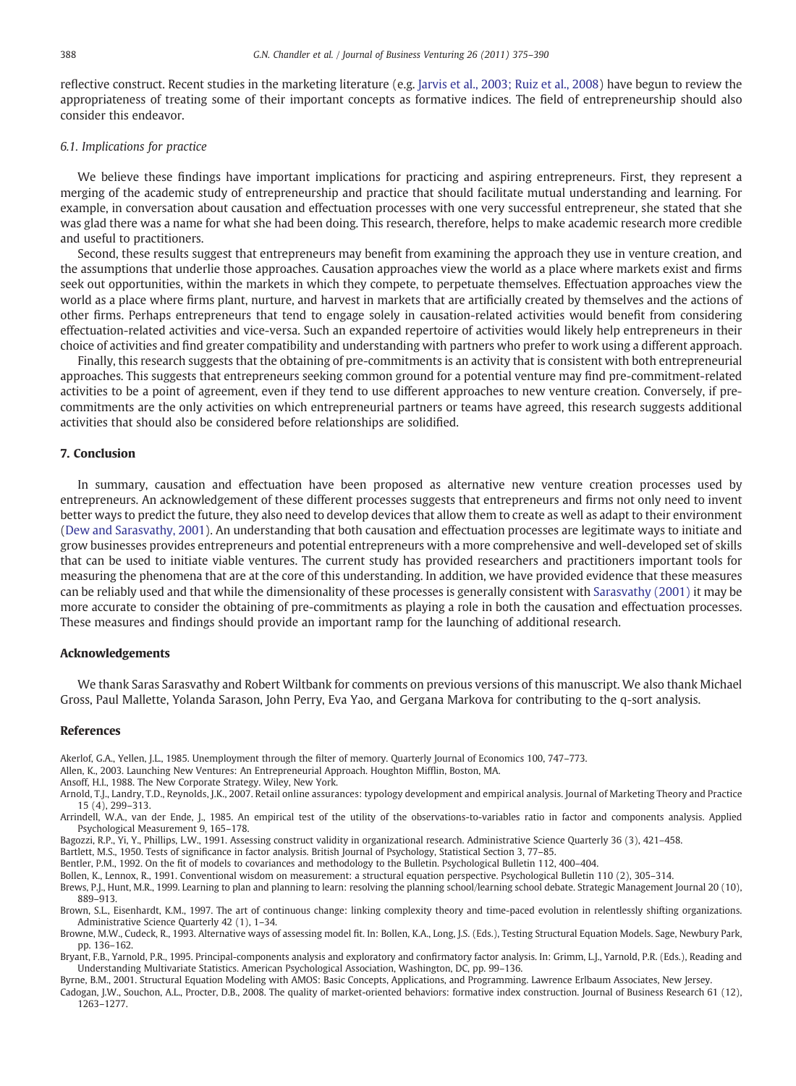<span id="page-13-0"></span>reflective construct. Recent studies in the marketing literature (e.g. [Jarvis et al., 2003; Ruiz et al., 2008\)](#page-14-0) have begun to review the appropriateness of treating some of their important concepts as formative indices. The field of entrepreneurship should also consider this endeavor.

#### 6.1. Implications for practice

We believe these findings have important implications for practicing and aspiring entrepreneurs. First, they represent a merging of the academic study of entrepreneurship and practice that should facilitate mutual understanding and learning. For example, in conversation about causation and effectuation processes with one very successful entrepreneur, she stated that she was glad there was a name for what she had been doing. This research, therefore, helps to make academic research more credible and useful to practitioners.

Second, these results suggest that entrepreneurs may benefit from examining the approach they use in venture creation, and the assumptions that underlie those approaches. Causation approaches view the world as a place where markets exist and firms seek out opportunities, within the markets in which they compete, to perpetuate themselves. Effectuation approaches view the world as a place where firms plant, nurture, and harvest in markets that are artificially created by themselves and the actions of other firms. Perhaps entrepreneurs that tend to engage solely in causation-related activities would benefit from considering effectuation-related activities and vice-versa. Such an expanded repertoire of activities would likely help entrepreneurs in their choice of activities and find greater compatibility and understanding with partners who prefer to work using a different approach.

Finally, this research suggests that the obtaining of pre-commitments is an activity that is consistent with both entrepreneurial approaches. This suggests that entrepreneurs seeking common ground for a potential venture may find pre-commitment-related activities to be a point of agreement, even if they tend to use different approaches to new venture creation. Conversely, if precommitments are the only activities on which entrepreneurial partners or teams have agreed, this research suggests additional activities that should also be considered before relationships are solidified.

### 7. Conclusion

In summary, causation and effectuation have been proposed as alternative new venture creation processes used by entrepreneurs. An acknowledgement of these different processes suggests that entrepreneurs and firms not only need to invent better ways to predict the future, they also need to develop devices that allow them to create as well as adapt to their environment ([Dew and Sarasvathy, 2001](#page-14-0)). An understanding that both causation and effectuation processes are legitimate ways to initiate and grow businesses provides entrepreneurs and potential entrepreneurs with a more comprehensive and well-developed set of skills that can be used to initiate viable ventures. The current study has provided researchers and practitioners important tools for measuring the phenomena that are at the core of this understanding. In addition, we have provided evidence that these measures can be reliably used and that while the dimensionality of these processes is generally consistent with [Sarasvathy \(2001\)](#page-15-0) it may be more accurate to consider the obtaining of pre-commitments as playing a role in both the causation and effectuation processes. These measures and findings should provide an important ramp for the launching of additional research.

#### Acknowledgements

We thank Saras Sarasvathy and Robert Wiltbank for comments on previous versions of this manuscript. We also thank Michael Gross, Paul Mallette, Yolanda Sarason, John Perry, Eva Yao, and Gergana Markova for contributing to the q-sort analysis.

#### References

Akerlof, G.A., Yellen, J.L., 1985. Unemployment through the filter of memory. Quarterly Journal of Economics 100, 747–773.

Allen, K., 2003. Launching New Ventures: An Entrepreneurial Approach. Houghton Mifflin, Boston, MA.

Ansoff, H.I., 1988. The New Corporate Strategy. Wiley, New York.

Arnold, T.J., Landry, T.D., Reynolds, J.K., 2007. Retail online assurances: typology development and empirical analysis. Journal of Marketing Theory and Practice 15 (4), 299–313.

Arrindell, W.A., van der Ende, J., 1985. An empirical test of the utility of the observations-to-variables ratio in factor and components analysis. Applied Psychological Measurement 9, 165–178.

Bagozzi, R.P., Yi, Y., Phillips, L.W., 1991. Assessing construct validity in organizational research. Administrative Science Quarterly 36 (3), 421–458.

Bartlett, M.S., 1950. Tests of significance in factor analysis. British Journal of Psychology, Statistical Section 3, 77–85.

Bentler, P.M., 1992. On the fit of models to covariances and methodology to the Bulletin. Psychological Bulletin 112, 400–404.

Bollen, K., Lennox, R., 1991. Conventional wisdom on measurement: a structural equation perspective. Psychological Bulletin 110 (2), 305–314.

Brews, P.J., Hunt, M.R., 1999. Learning to plan and planning to learn: resolving the planning school/learning school debate. Strategic Management Journal 20 (10), 889–913.

Brown, S.L., Eisenhardt, K.M., 1997. The art of continuous change: linking complexity theory and time-paced evolution in relentlessly shifting organizations. Administrative Science Quarterly 42 (1), 1–34.

Browne, M.W., Cudeck, R., 1993. Alternative ways of assessing model fit. In: Bollen, K.A., Long, J.S. (Eds.), Testing Structural Equation Models. Sage, Newbury Park, pp. 136–162.

Bryant, F.B., Yarnold, P.R., 1995. Principal-components analysis and exploratory and confirmatory factor analysis. In: Grimm, L.J., Yarnold, P.R. (Eds.), Reading and Understanding Multivariate Statistics. American Psychological Association, Washington, DC, pp. 99–136.

Byrne, B.M., 2001. Structural Equation Modeling with AMOS: Basic Concepts, Applications, and Programming. Lawrence Erlbaum Associates, New Jersey.

Cadogan, J.W., Souchon, A.L., Procter, D.B., 2008. The quality of market-oriented behaviors: formative index construction. Journal of Business Research 61 (12), 1263–1277.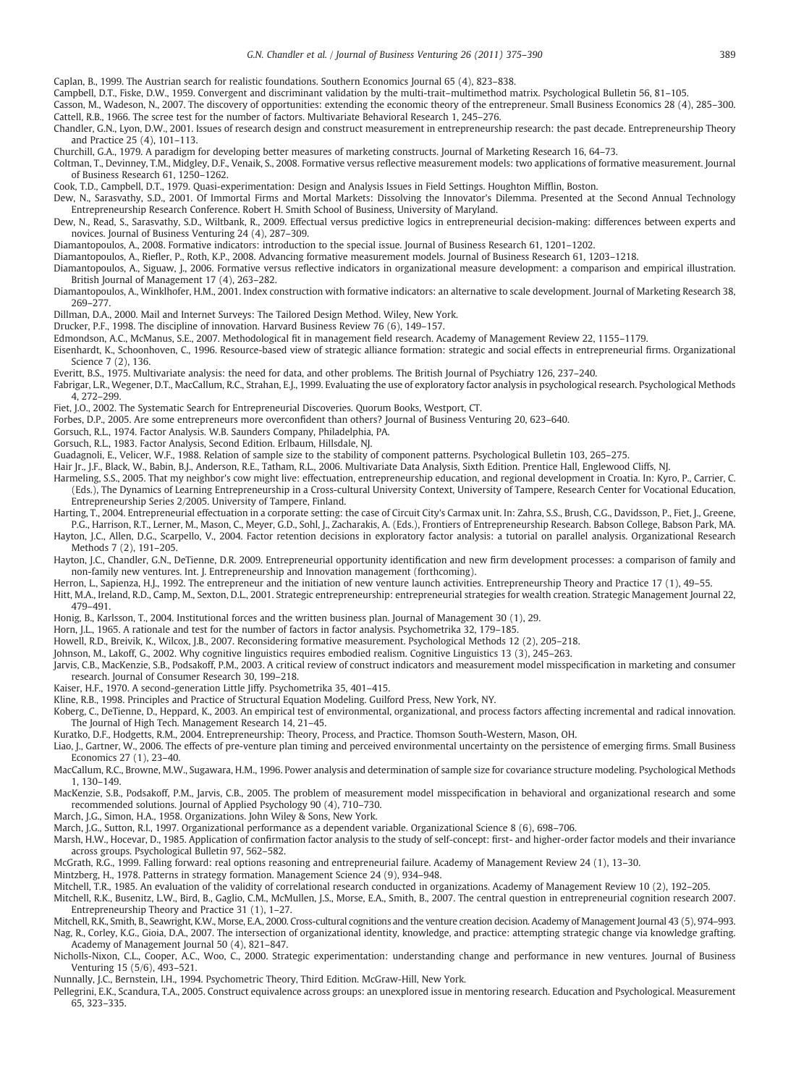- <span id="page-14-0"></span>Caplan, B., 1999. The Austrian search for realistic foundations. Southern Economics Journal 65 (4), 823–838.
- Campbell, D.T., Fiske, D.W., 1959. Convergent and discriminant validation by the multi-trait–multimethod matrix. Psychological Bulletin 56, 81–105.
- Casson, M., Wadeson, N., 2007. The discovery of opportunities: extending the economic theory of the entrepreneur. Small Business Economics 28 (4), 285–300.
- Cattell, R.B., 1966. The scree test for the number of factors. Multivariate Behavioral Research 1, 245–276.
- Chandler, G.N., Lyon, D.W., 2001. Issues of research design and construct measurement in entrepreneurship research: the past decade. Entrepreneurship Theory and Practice 25 (4), 101–113.
- Churchill, G.A., 1979. A paradigm for developing better measures of marketing constructs. Journal of Marketing Research 16, 64–73.
- Coltman, T., Devinney, T.M., Midgley, D.F., Venaik, S., 2008. Formative versus reflective measurement models: two applications of formative measurement. Journal of Business Research 61, 1250–1262.
- Cook, T.D., Campbell, D.T., 1979. Quasi-experimentation: Design and Analysis Issues in Field Settings. Houghton Mifflin, Boston.
- Dew, N., Sarasvathy, S.D., 2001. Of Immortal Firms and Mortal Markets: Dissolving the Innovator's Dilemma. Presented at the Second Annual Technology Entrepreneurship Research Conference. Robert H. Smith School of Business, University of Maryland.
- Dew, N., Read, S., Sarasvathy, S.D., Wiltbank, R., 2009. Effectual versus predictive logics in entrepreneurial decision-making: differences between experts and novices. Journal of Business Venturing 24 (4), 287–309.
- Diamantopoulos, A., 2008. Formative indicators: introduction to the special issue. Journal of Business Research 61, 1201–1202.
- Diamantopoulos, A., Riefler, P., Roth, K.P., 2008. Advancing formative measurement models. Journal of Business Research 61, 1203–1218.
- Diamantopoulos, A., Siguaw, J., 2006. Formative versus reflective indicators in organizational measure development: a comparison and empirical illustration. British Journal of Management 17 (4), 263–282.
- Diamantopoulos, A., Winklhofer, H.M., 2001. Index construction with formative indicators: an alternative to scale development. Journal of Marketing Research 38, 269–277.
- Dillman, D.A., 2000. Mail and Internet Surveys: The Tailored Design Method. Wiley, New York.
- Drucker, P.F., 1998. The discipline of innovation. Harvard Business Review 76 (6), 149–157.
- Edmondson, A.C., McManus, S.E., 2007. Methodological fit in management field research. Academy of Management Review 22, 1155–1179.
- Eisenhardt, K., Schoonhoven, C., 1996. Resource-based view of strategic alliance formation: strategic and social effects in entrepreneurial firms. Organizational Science 7 (2), 136.
- Everitt, B.S., 1975. Multivariate analysis: the need for data, and other problems. The British Journal of Psychiatry 126, 237–240.
- Fabrigar, L.R., Wegener, D.T., MacCallum, R.C., Strahan, E.J., 1999. Evaluating the use of exploratory factor analysis in psychological research. Psychological Methods 4, 272–299.
- Fiet, J.O., 2002. The Systematic Search for Entrepreneurial Discoveries. Quorum Books, Westport, CT.
- Forbes, D.P., 2005. Are some entrepreneurs more overconfident than others? Journal of Business Venturing 20, 623–640.
- Gorsuch, R.L., 1974. Factor Analysis. W.B. Saunders Company, Philadelphia, PA.
- Gorsuch, R.L., 1983. Factor Analysis, Second Edition. Erlbaum, Hillsdale, NJ.
- Guadagnoli, E., Velicer, W.F., 1988. Relation of sample size to the stability of component patterns. Psychological Bulletin 103, 265–275.
- Hair Jr., J.F., Black, W., Babin, B.J., Anderson, R.E., Tatham, R.L., 2006. Multivariate Data Analysis, Sixth Edition. Prentice Hall, Englewood Cliffs, NJ.
- Harmeling, S.S., 2005. That my neighbor's cow might live: effectuation, entrepreneurship education, and regional development in Croatia. In: Kyro, P., Carrier, C. (Eds.), The Dynamics of Learning Entrepreneurship in a Cross-cultural University Context, University of Tampere, Research Center for Vocational Education, Entrepreneurship Series 2/2005. University of Tampere, Finland.
- Harting, T., 2004. Entrepreneurial effectuation in a corporate setting: the case of Circuit City's Carmax unit. In: Zahra, S.S., Brush, C.G., Davidsson, P., Fiet, J., Greene,
- P.G., Harrison, R.T., Lerner, M., Mason, C., Meyer, G.D., Sohl, J., Zacharakis, A. (Eds.), Frontiers of Entrepreneurship Research. Babson College, Babson Park, MA. Hayton, J.C., Allen, D.G., Scarpello, V., 2004. Factor retention decisions in exploratory factor analysis: a tutorial on parallel analysis. Organizational Research Methods 7 (2), 191–205.
- Hayton, J.C., Chandler, G.N., DeTienne, D.R. 2009. Entrepreneurial opportunity identification and new firm development processes: a comparison of family and non-family new ventures. Int. J. Entrepreneurship and Innovation management (forthcoming).
- Herron, L., Sapienza, H.J., 1992. The entrepreneur and the initiation of new venture launch activities. Entrepreneurship Theory and Practice 17 (1), 49–55.
- Hitt, M.A., Ireland, R.D., Camp, M., Sexton, D.L., 2001. Strategic entrepreneurship: entrepreneurial strategies for wealth creation. Strategic Management Journal 22, 479–491.
- Honig, B., Karlsson, T., 2004. Institutional forces and the written business plan. Journal of Management 30 (1), 29.
- Horn, J.L., 1965. A rationale and test for the number of factors in factor analysis. Psychometrika 32, 179–185.
- Howell, R.D., Breivik, K., Wilcox, J.B., 2007. Reconsidering formative measurement. Psychological Methods 12 (2), 205–218.
- Johnson, M., Lakoff, G., 2002. Why cognitive linguistics requires embodied realism. Cognitive Linguistics 13 (3), 245–263.
- Jarvis, C.B., MacKenzie, S.B., Podsakoff, P.M., 2003. A critical review of construct indicators and measurement model misspecification in marketing and consumer research. Journal of Consumer Research 30, 199–218.
- Kaiser, H.F., 1970. A second-generation Little Jiffy. Psychometrika 35, 401–415.
- Kline, R.B., 1998. Principles and Practice of Structural Equation Modeling. Guilford Press, New York, NY.
- Koberg, C., DeTienne, D., Heppard, K., 2003. An empirical test of environmental, organizational, and process factors affecting incremental and radical innovation. The Journal of High Tech. Management Research 14, 21–45.
- Kuratko, D.F., Hodgetts, R.M., 2004. Entrepreneurship: Theory, Process, and Practice. Thomson South-Western, Mason, OH.
- Liao, J., Gartner, W., 2006. The effects of pre-venture plan timing and perceived environmental uncertainty on the persistence of emerging firms. Small Business Economics 27 (1), 23–40.
- MacCallum, R.C., Browne, M.W., Sugawara, H.M., 1996. Power analysis and determination of sample size for covariance structure modeling. Psychological Methods 1, 130–149.
- MacKenzie, S.B., Podsakoff, P.M., Jarvis, C.B., 2005. The problem of measurement model misspecification in behavioral and organizational research and some recommended solutions. Journal of Applied Psychology 90 (4), 710–730.
- March, J.G., Simon, H.A., 1958. Organizations. John Wiley & Sons, New York.
- March, J.G., Sutton, R.I., 1997. Organizational performance as a dependent variable. Organizational Science 8 (6), 698–706.
- Marsh, H.W., Hocevar, D., 1985. Application of confirmation factor analysis to the study of self-concept: first- and higher-order factor models and their invariance across groups. Psychological Bulletin 97, 562–582.
- McGrath, R.G., 1999. Falling forward: real options reasoning and entrepreneurial failure. Academy of Management Review 24 (1), 13–30.
- Mintzberg, H., 1978. Patterns in strategy formation. Management Science 24 (9), 934–948.
- Mitchell, T.R., 1985. An evaluation of the validity of correlational research conducted in organizations. Academy of Management Review 10 (2), 192–205.
- Mitchell, R.K., Busenitz, L.W., Bird, B., Gaglio, C.M., McMullen, J.S., Morse, E.A., Smith, B., 2007. The central question in entrepreneurial cognition research 2007. Entrepreneurship Theory and Practice 31 (1), 1–27.
- Mitchell, R.K., Smith, B., Seawright, K.W., Morse, E.A., 2000. Cross-cultural cognitions and the venture creation decision. Academy of Management Journal 43 (5), 974–993. Nag, R., Corley, K.G., Gioia, D.A., 2007. The intersection of organizational identity, knowledge, and practice: attempting strategic change via knowledge grafting.
- Academy of Management Journal 50 (4), 821–847. Nicholls-Nixon, C.L., Cooper, A.C., Woo, C., 2000. Strategic experimentation: understanding change and performance in new ventures. Journal of Business Venturing 15 (5/6), 493–521.
- Nunnally, J.C., Bernstein, I.H., 1994. Psychometric Theory, Third Edition. McGraw-Hill, New York.
- Pellegrini, E.K., Scandura, T.A., 2005. Construct equivalence across groups: an unexplored issue in mentoring research. Education and Psychological. Measurement 65, 323–335.